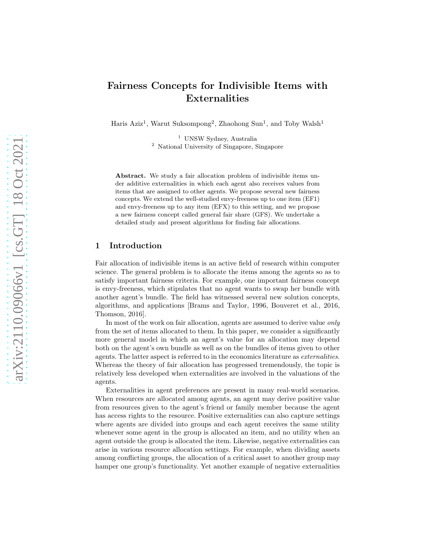# Fairness Concepts for Indivisible Items with Externalities

Haris Aziz<sup>1</sup>, Warut Suksompong<sup>2</sup>, Zhaohong Sun<sup>1</sup>, and Toby Walsh<sup>1</sup>

 $^{\rm 1}$  UNSW Sydney, Australia <sup>2</sup> National University of Singapore, Singapore

Abstract. We study a fair allocation problem of indivisible items under additive externalities in which each agent also receives values from items that are assigned to other agents. We propose several new fairness concepts. We extend the well-studied envy-freeness up to one item (EF1) and envy-freeness up to any item (EFX) to this setting, and we propose a new fairness concept called general fair share (GFS). We undertake a detailed study and present algorithms for finding fair allocations.

### 1 Introduction

Fair allocation of indivisible items is an active field of research within computer science. The general problem is to allocate the items among the agents so as to satisfy important fairness criteria. For example, one important fairness concept is envy-freeness, which stipulates that no agent wants to swap her bundle with another agent's bundle. The field has witnessed several new solution concepts, algorithms, and applications [Brams and Taylor, 1996, Bouveret et al., 2016, Thomson, 2016].

In most of the work on fair allocation, agents are assumed to derive value *only* from the set of items allocated to them. In this paper, we consider a significantly more general model in which an agent's value for an allocation may depend both on the agent's own bundle as well as on the bundles of items given to other agents. The latter aspect is referred to in the economics literature as *externalities*. Whereas the theory of fair allocation has progressed tremendously, the topic is relatively less developed when externalities are involved in the valuations of the agents.

Externalities in agent preferences are present in many real-world scenarios. When resources are allocated among agents, an agent may derive positive value from resources given to the agent's friend or family member because the agent has access rights to the resource. Positive externalities can also capture settings where agents are divided into groups and each agent receives the same utility whenever some agent in the group is allocated an item, and no utility when an agent outside the group is allocated the item. Likewise, negative externalities can arise in various resource allocation settings. For example, when dividing assets among conflicting groups, the allocation of a critical asset to another group may hamper one group's functionality. Yet another example of negative externalities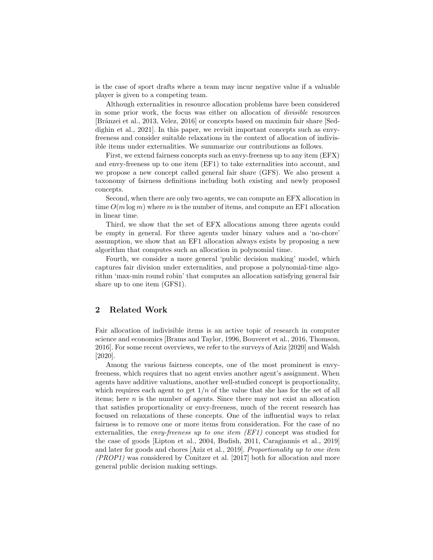is the case of sport drafts where a team may incur negative value if a valuable player is given to a competing team.

Although externalities in resource allocation problems have been considered in some prior work, the focus was either on allocation of *divisible* resources [Brˆanzei et al., 2013, Velez, 2016] or concepts based on maximin fair share [Seddighin et al., 2021]. In this paper, we revisit important concepts such as envyfreeness and consider suitable relaxations in the context of allocation of indivisible items under externalities. We summarize our contributions as follows.

First, we extend fairness concepts such as envy-freeness up to any item (EFX) and envy-freeness up to one item (EF1) to take externalities into account, and we propose a new concept called general fair share (GFS). We also present a taxonomy of fairness definitions including both existing and newly proposed concepts.

Second, when there are only two agents, we can compute an EFX allocation in time  $O(m \log m)$  where m is the number of items, and compute an EF1 allocation in linear time.

Third, we show that the set of EFX allocations among three agents could be empty in general. For three agents under binary values and a 'no-chore' assumption, we show that an EF1 allocation always exists by proposing a new algorithm that computes such an allocation in polynomial time.

Fourth, we consider a more general 'public decision making' model, which captures fair division under externalities, and propose a polynomial-time algorithm 'max-min round robin' that computes an allocation satisfying general fair share up to one item (GFS1).

## 2 Related Work

Fair allocation of indivisible items is an active topic of research in computer science and economics [Brams and Taylor, 1996, Bouveret et al., 2016, Thomson, 2016]. For some recent overviews, we refer to the surveys of Aziz [2020] and Walsh [2020].

Among the various fairness concepts, one of the most prominent is envyfreeness, which requires that no agent envies another agent's assignment. When agents have additive valuations, another well-studied concept is proportionality, which requires each agent to get  $1/n$  of the value that she has for the set of all items; here  $n$  is the number of agents. Since there may not exist an allocation that satisfies proportionality or envy-freeness, much of the recent research has focused on relaxations of these concepts. One of the influential ways to relax fairness is to remove one or more items from consideration. For the case of no externalities, the *envy-freeness up to one item (EF1)* concept was studied for the case of goods [Lipton et al., 2004, Budish, 2011, Caragiannis et al., 2019] and later for goods and chores [Aziz et al., 2019]. *Proportionality up to one item (PROP1)* was considered by Conitzer et al. [2017] both for allocation and more general public decision making settings.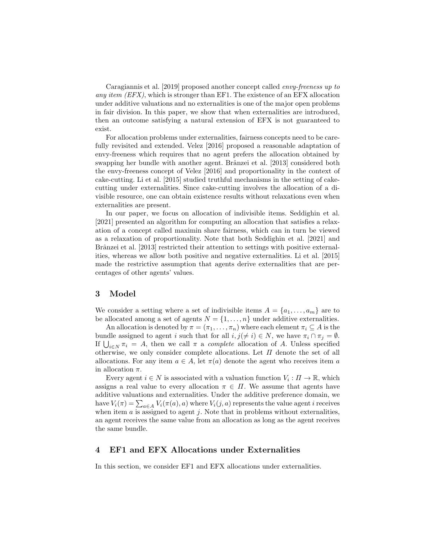Caragiannis et al. [2019] proposed another concept called *envy-freeness up to any item (EFX)*, which is stronger than EF1. The existence of an EFX allocation under additive valuations and no externalities is one of the major open problems in fair division. In this paper, we show that when externalities are introduced, then an outcome satisfying a natural extension of EFX is not guaranteed to exist.

For allocation problems under externalities, fairness concepts need to be carefully revisited and extended. Velez [2016] proposed a reasonable adaptation of envy-freeness which requires that no agent prefers the allocation obtained by swapping her bundle with another agent. Brânzei et al. [2013] considered both the envy-freeness concept of Velez [2016] and proportionality in the context of cake-cutting. Li et al. [2015] studied truthful mechanisms in the setting of cakecutting under externalities. Since cake-cutting involves the allocation of a divisible resource, one can obtain existence results without relaxations even when externalities are present.

In our paper, we focus on allocation of indivisible items. Seddighin et al. [2021] presented an algorithm for computing an allocation that satisfies a relaxation of a concept called maximin share fairness, which can in turn be viewed as a relaxation of proportionality. Note that both Seddighin et al. [2021] and Brânzei et al. [2013] restricted their attention to settings with positive externalities, whereas we allow both positive and negative externalities. Li et al. [2015] made the restrictive assumption that agents derive externalities that are percentages of other agents' values.

### 3 Model

We consider a setting where a set of indivisible items  $A = \{a_1, \ldots, a_m\}$  are to be allocated among a set of agents  $N = \{1, \ldots, n\}$  under additive externalities.

An allocation is denoted by  $\pi = (\pi_1, \ldots, \pi_n)$  where each element  $\pi_i \subseteq A$  is the bundle assigned to agent i such that for all  $i, j(\neq i) \in N$ , we have  $\pi_i \cap \pi_j = \emptyset$ . If  $\bigcup_{i\in\mathbb{N}} \pi_i = A$ , then we call  $\pi$  a *complete* allocation of A. Unless specified otherwise, we only consider complete allocations. Let  $\Pi$  denote the set of all allocations. For any item  $a \in A$ , let  $\pi(a)$  denote the agent who receives item a in allocation  $\pi$ .

Every agent  $i \in N$  is associated with a valuation function  $V_i: \Pi \to \mathbb{R}$ , which assigns a real value to every allocation  $\pi \in \Pi$ . We assume that agents have additive valuations and externalities. Under the additive preference domain, we have  $V_i(\pi) = \sum_{a \in A} V_i(\pi(a), a)$  where  $V_i(j, a)$  represents the value agent *i* receives when item  $a$  is assigned to agent  $j$ . Note that in problems without externalities, an agent receives the same value from an allocation as long as the agent receives the same bundle.

### 4 EF1 and EFX Allocations under Externalities

In this section, we consider EF1 and EFX allocations under externalities.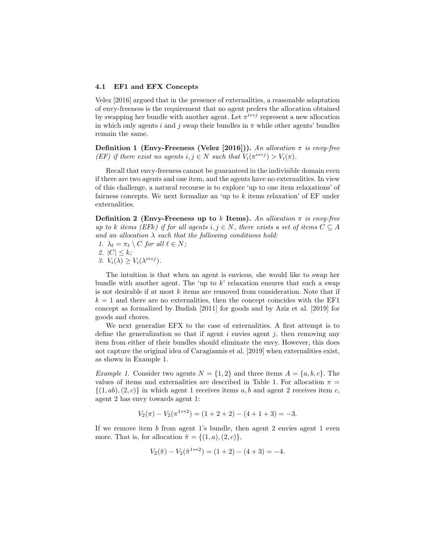#### 4.1 EF1 and EFX Concepts

Velez [2016] argued that in the presence of externalities, a reasonable adaptation of envy-freeness is the requirement that no agent prefers the allocation obtained by swapping her bundle with another agent. Let  $\pi^{i\leftrightarrow j}$  represent a new allocation in which only agents i and j swap their bundles in  $\pi$  while other agents' bundles remain the same.

Definition 1 (Envy-Freeness (Velez [2016])). *An allocation* π *is envy-free (EF)* if there exist no agents  $i, j \in N$  such that  $V_i(\pi^{i \leftrightarrow j}) > V_i(\pi)$ .

Recall that envy-freeness cannot be guaranteed in the indivisible domain even if there are two agents and one item, and the agents have no externalities. In view of this challenge, a natural recourse is to explore 'up to one item relaxations' of fairness concepts. We next formalize an 'up to k items relaxation' of EF under externalities.

Definition 2 (Envy-Freeness up to k Items). An allocation  $\pi$  is envy-free *up to* k *items (EFk) if for all agents*  $i, j \in N$ *, there exists a set of items*  $C \subseteq A$ *and an allocation* λ *such that the following conditions hold:*

*1.*  $\lambda_{\ell} = \pi_{\ell} \setminus C$  *for all*  $\ell \in N$ ; *2.*  $|C| \leq k$ ; *3.*  $V_i(\lambda) \geq V_i(\lambda^{i \leftrightarrow j}).$ 

The intuition is that when an agent is envious, she would like to swap her bundle with another agent. The 'up to  $k$ ' relaxation ensures that such a swap is not desirable if at most  $k$  items are removed from consideration. Note that if  $k = 1$  and there are no externalities, then the concept coincides with the EF1 concept as formalized by Budish [2011] for goods and by Aziz et al. [2019] for goods and chores.

We next generalize EFX to the case of externalities. A first attempt is to define the generalization so that if agent  $i$  envies agent  $j$ , then removing any item from either of their bundles should eliminate the envy. However, this does not capture the original idea of Caragiannis et al. [2019] when externalities exist, as shown in Example 1.

*Example 1.* Consider two agents  $N = \{1, 2\}$  and three items  $A = \{a, b, c\}$ . The values of items and externalities are described in Table 1. For allocation  $\pi$  =  $\{(1, ab), (2, c)\}\$ in which agent 1 receives items a, b and agent 2 receives item c, agent 2 has envy towards agent 1:

$$
V_2(\pi) - V_2(\pi^{1 \leftrightarrow 2}) = (1 + 2 + 2) - (4 + 1 + 3) = -3.
$$

If we remove item  $b$  from agent 1's bundle, then agent 2 envies agent 1 even more. That is, for allocation  $\tilde{\pi} = \{(1, a), (2, c)\},\$ 

$$
V_2(\tilde{\pi}) - V_2(\tilde{\pi}^{1 \leftrightarrow 2}) = (1+2) - (4+3) = -4.
$$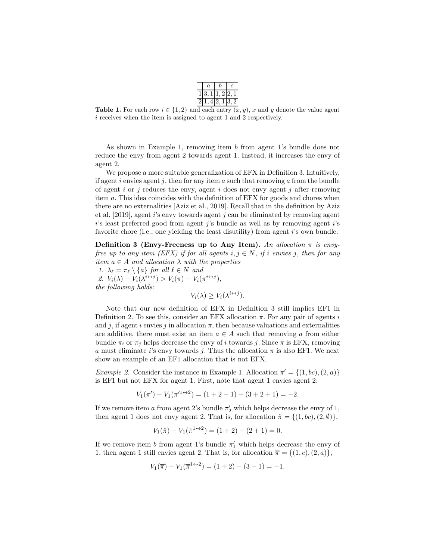| 1 3,1 1,2 2,1<br>4 2,1 <br>21.<br>3, 2 |  |  |
|----------------------------------------|--|--|
|                                        |  |  |
|                                        |  |  |

**Table 1.** For each row  $i \in \{1,2\}$  and each entry  $(x, y)$ , x and y denote the value agent i receives when the item is assigned to agent 1 and 2 respectively.

As shown in Example 1, removing item b from agent 1's bundle does not reduce the envy from agent 2 towards agent 1. Instead, it increases the envy of agent 2.

We propose a more suitable generalization of EFX in Definition 3. Intuitively, if agent i envies agent j, then for any item a such that removing a from the bundle of agent i or j reduces the envy, agent i does not envy agent j after removing item a. This idea coincides with the definition of EFX for goods and chores when there are no externalities [Aziz et al., 2019]. Recall that in the definition by Aziz et al. [2019], agent i's envy towards agent j can be eliminated by removing agent  $i$ 's least preferred good from agent  $j$ 's bundle as well as by removing agent  $i$ 's favorite chore (i.e., one yielding the least disutility) from agent  $i$ 's own bundle.

Definition 3 (Envy-Freeness up to Any Item). An allocation  $\pi$  is envy*free up to any item (EFX) if for all agents*  $i, j \in N$ , *if i envies j*, *then for any item*  $a \in A$  *and allocation*  $\lambda$  *with the properties* 

*1.*  $\lambda_{\ell} = \pi_{\ell} \setminus \{a\}$  *for all*  $\ell \in N$  *and* 

2.  $V_i(\lambda) - V_i(\lambda^{i \leftrightarrow j}) > V_i(\pi) - V_i(\pi^{i \leftrightarrow j}),$ *the following holds:*

$$
V_i(\lambda) \ge V_i(\lambda^{i \leftrightarrow j}).
$$

Note that our new definition of EFX in Definition 3 still implies EF1 in Definition 2. To see this, consider an EFX allocation  $\pi$ . For any pair of agents i and j, if agent i envies j in allocation  $\pi$ , then because valuations and externalities are additive, there must exist an item  $a \in A$  such that removing a from either bundle  $\pi_i$  or  $\pi_j$  helps decrease the envy of i towards j. Since  $\pi$  is EFX, removing a must eliminate i's envy towards j. Thus the allocation  $\pi$  is also EF1. We next show an example of an EF1 allocation that is not EFX.

*Example 2.* Consider the instance in Example 1. Allocation  $\pi' = \{(1, bc), (2, a)\}\$ is EF1 but not EFX for agent 1. First, note that agent 1 envies agent 2:

 $V_1(\pi') - V_1(\pi'^{1 \leftrightarrow 2}) = (1 + 2 + 1) - (3 + 2 + 1) = -2.$ 

If we remove item a from agent 2's bundle  $\pi'_2$  which helps decrease the envy of 1, then agent 1 does not envy agent 2. That is, for allocation  $\hat{\pi} = \{(1, bc), (2, \emptyset)\},\$ 

$$
V_1(\hat{\pi}) - V_1(\hat{\pi}^{1 \leftrightarrow 2}) = (1+2) - (2+1) = 0.
$$

If we remove item b from agent 1's bundle  $\pi'_1$  which helps decrease the envy of 1, then agent 1 still envies agent 2. That is, for allocation  $\overline{\pi} = \{(1, c), (2, a)\},\$ 

$$
V_1(\overline{\pi}) - V_1(\overline{\pi}^{1 \leftrightarrow 2}) = (1+2) - (3+1) = -1.
$$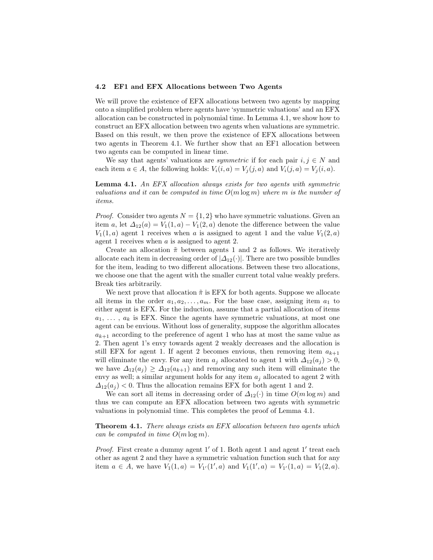#### 4.2 EF1 and EFX Allocations between Two Agents

We will prove the existence of EFX allocations between two agents by mapping onto a simplified problem where agents have 'symmetric valuations' and an EFX allocation can be constructed in polynomial time. In Lemma 4.1, we show how to construct an EFX allocation between two agents when valuations are symmetric. Based on this result, we then prove the existence of EFX allocations between two agents in Theorem 4.1. We further show that an EF1 allocation between two agents can be computed in linear time.

We say that agents' valuations are *symmetric* if for each pair  $i, j \in N$  and each item  $a \in A$ , the following holds:  $V_i(i, a) = V_j(j, a)$  and  $V_i(j, a) = V_j(i, a)$ .

Lemma 4.1. *An EFX allocation always exists for two agents with symmetric valuations and it can be computed in time* O(m log m) *where* m *is the number of items.*

*Proof.* Consider two agents  $N = \{1, 2\}$  who have symmetric valuations. Given an item a, let  $\Delta_{12}(a) = V_1(1, a) - V_1(2, a)$  denote the difference between the value  $V_1(1, a)$  agent 1 receives when a is assigned to agent 1 and the value  $V_1(2, a)$ agent 1 receives when  $a$  is assigned to agent 2.

Create an allocation  $\tilde{\pi}$  between agents 1 and 2 as follows. We iteratively allocate each item in decreasing order of  $|\Delta_{12}(\cdot)|$ . There are two possible bundles for the item, leading to two different allocations. Between these two allocations, we choose one that the agent with the smaller current total value weakly prefers. Break ties arbitrarily.

We next prove that allocation  $\tilde{\pi}$  is EFX for both agents. Suppose we allocate all items in the order  $a_1, a_2, \ldots, a_m$ . For the base case, assigning item  $a_1$  to either agent is EFX. For the induction, assume that a partial allocation of items  $a_1, \ldots, a_k$  is EFX. Since the agents have symmetric valuations, at most one agent can be envious. Without loss of generality, suppose the algorithm allocates  $a_{k+1}$  according to the preference of agent 1 who has at most the same value as 2. Then agent 1's envy towards agent 2 weakly decreases and the allocation is still EFX for agent 1. If agent 2 becomes envious, then removing item  $a_{k+1}$ will eliminate the envy. For any item  $a_j$  allocated to agent 1 with  $\Delta_{12}(a_j) > 0$ , we have  $\Delta_{12}(a_j) \geq \Delta_{12}(a_{k+1})$  and removing any such item will eliminate the envy as well; a similar argument holds for any item  $a_j$  allocated to agent 2 with  $\Delta_{12}(a_i) < 0$ . Thus the allocation remains EFX for both agent 1 and 2.

We can sort all items in decreasing order of  $\Delta_{12}(\cdot)$  in time  $O(m \log m)$  and thus we can compute an EFX allocation between two agents with symmetric valuations in polynomial time. This completes the proof of Lemma 4.1.

Theorem 4.1. *There always exists an EFX allocation between two agents which can be computed in time* O(m log m)*.*

Proof. First create a dummy agent 1' of 1. Both agent 1 and agent 1' treat each other as agent 2 and they have a symmetric valuation function such that for any item  $a \in A$ , we have  $V_1(1,a) = V_{1'}(1',a)$  and  $V_1(1',a) = V_{1'}(1,a) = V_1(2,a)$ .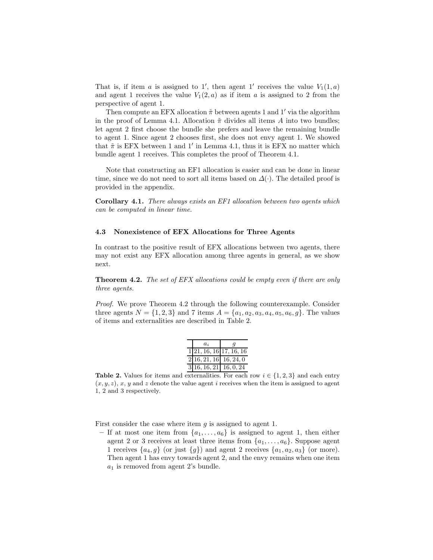That is, if item a is assigned to 1', then agent 1' receives the value  $V_1(1, a)$ and agent 1 receives the value  $V_1(2, a)$  as if item a is assigned to 2 from the perspective of agent 1.

Then compute an EFX allocation  $\tilde{\pi}$  between agents 1 and 1' via the algorithm in the proof of Lemma 4.1. Allocation  $\tilde{\pi}$  divides all items A into two bundles; let agent 2 first choose the bundle she prefers and leave the remaining bundle to agent 1. Since agent 2 chooses first, she does not envy agent 1. We showed that  $\tilde{\pi}$  is EFX between 1 and 1' in Lemma 4.1, thus it is EFX no matter which bundle agent 1 receives. This completes the proof of Theorem 4.1.

Note that constructing an EF1 allocation is easier and can be done in linear time, since we do not need to sort all items based on  $\Delta(.)$ . The detailed proof is provided in the appendix.

Corollary 4.1. *There always exists an EF1 allocation between two agents which can be computed in linear time.*

#### 4.3 Nonexistence of EFX Allocations for Three Agents

In contrast to the positive result of EFX allocations between two agents, there may not exist any EFX allocation among three agents in general, as we show next.

Theorem 4.2. *The set of EFX allocations could be empty even if there are only three agents.*

*Proof.* We prove Theorem 4.2 through the following counterexample. Consider three agents  $N = \{1, 2, 3\}$  and 7 items  $A = \{a_1, a_2, a_3, a_4, a_5, a_6, g\}$ . The values of items and externalities are described in Table 2.

| $a_i$                               |  |
|-------------------------------------|--|
| $1\overline{21, 16, 16}$ 17, 16, 16 |  |
| 2 16, 21, 16 16, 24, 0              |  |
| $3[16, 16, 21]$ 16, 0, 24           |  |

**Table 2.** Values for items and externalities. For each row  $i \in \{1, 2, 3\}$  and each entry  $(x, y, z)$ , x, y and z denote the value agent i receives when the item is assigned to agent 1, 2 and 3 respectively.

First consider the case where item  $g$  is assigned to agent 1.

– If at most one item from  $\{a_1, \ldots, a_6\}$  is assigned to agent 1, then either agent 2 or 3 receives at least three items from  $\{a_1, \ldots, a_6\}$ . Suppose agent 1 receives  $\{a_4, g\}$  (or just  $\{g\}$ ) and agent 2 receives  $\{a_1, a_2, a_3\}$  (or more). Then agent 1 has envy towards agent 2, and the envy remains when one item  $a_1$  is removed from agent 2's bundle.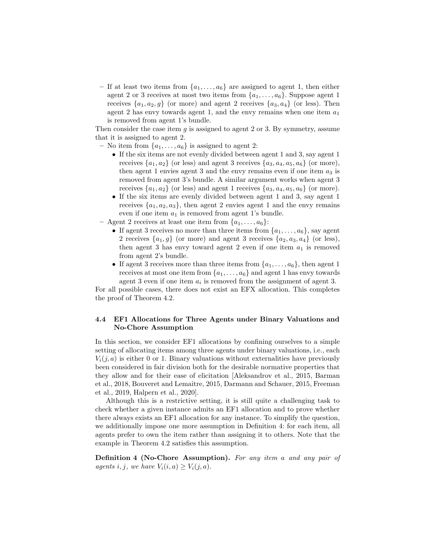– If at least two items from  $\{a_1, \ldots, a_6\}$  are assigned to agent 1, then either agent 2 or 3 receives at most two items from  $\{a_1, \ldots, a_6\}$ . Suppose agent 1 receives  $\{a_1, a_2, g\}$  (or more) and agent 2 receives  $\{a_3, a_4\}$  (or less). Then agent 2 has envy towards agent 1, and the envy remains when one item  $a_1$ is removed from agent 1's bundle.

Then consider the case item  $g$  is assigned to agent 2 or 3. By symmetry, assume that it is assigned to agent 2.

- No item from  $\{a_1, \ldots, a_6\}$  is assigned to agent 2:
	- If the six items are not evenly divided between agent 1 and 3, say agent 1 receives  $\{a_1, a_2\}$  (or less) and agent 3 receives  $\{a_3, a_4, a_5, a_6\}$  (or more), then agent 1 envies agent 3 and the envy remains even if one item  $a_3$  is removed from agent 3's bundle. A similar argument works when agent 3 receives  $\{a_1, a_2\}$  (or less) and agent 1 receives  $\{a_3, a_4, a_5, a_6\}$  (or more).
	- If the six items are evenly divided between agent 1 and 3, say agent 1 receives  $\{a_1, a_2, a_3\}$ , then agent 2 envies agent 1 and the envy remains even if one item  $a_1$  is removed from agent 1's bundle.
- Agent 2 receives at least one item from  $\{a_1, \ldots, a_6\}$ :
	- If agent 3 receives no more than three items from  $\{a_1, \ldots, a_6\}$ , say agent 2 receives  $\{a_1, g\}$  (or more) and agent 3 receives  $\{a_2, a_3, a_4\}$  (or less), then agent 3 has envy toward agent 2 even if one item  $a_1$  is removed from agent 2's bundle.
	- If agent 3 receives more than three items from  $\{a_1, \ldots, a_6\}$ , then agent 1 receives at most one item from  $\{a_1, \ldots, a_6\}$  and agent 1 has envy towards agent 3 even if one item  $a_i$  is removed from the assignment of agent 3.

For all possible cases, there does not exist an EFX allocation. This completes the proof of Theorem 4.2.

### 4.4 EF1 Allocations for Three Agents under Binary Valuations and No-Chore Assumption

In this section, we consider EF1 allocations by confining ourselves to a simple setting of allocating items among three agents under binary valuations, i.e., each  $V_i(i, a)$  is either 0 or 1. Binary valuations without externalities have previously been considered in fair division both for the desirable normative properties that they allow and for their ease of elicitation [Aleksandrov et al., 2015, Barman et al., 2018, Bouveret and Lemaître, 2015, Darmann and Schauer, 2015, Freeman et al., 2019, Halpern et al., 2020].

Although this is a restrictive setting, it is still quite a challenging task to check whether a given instance admits an EF1 allocation and to prove whether there always exists an EF1 allocation for any instance. To simplify the question, we additionally impose one more assumption in Definition 4: for each item, all agents prefer to own the item rather than assigning it to others. Note that the example in Theorem 4.2 satisfies this assumption.

Definition 4 (No-Chore Assumption). *For any item* a *and any pair of agents*  $i, j$ *, we have*  $V_i(i, a) \geq V_i(j, a)$ *.*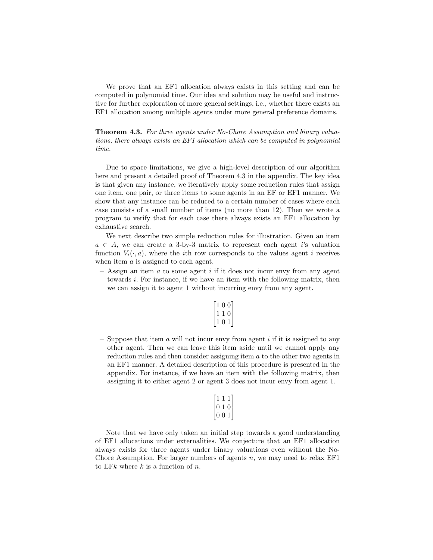We prove that an EF1 allocation always exists in this setting and can be computed in polynomial time. Our idea and solution may be useful and instructive for further exploration of more general settings, i.e., whether there exists an EF1 allocation among multiple agents under more general preference domains.

Theorem 4.3. *For three agents under No-Chore Assumption and binary valuations, there always exists an EF1 allocation which can be computed in polynomial time.*

Due to space limitations, we give a high-level description of our algorithm here and present a detailed proof of Theorem 4.3 in the appendix. The key idea is that given any instance, we iteratively apply some reduction rules that assign one item, one pair, or three items to some agents in an EF or EF1 manner. We show that any instance can be reduced to a certain number of cases where each case consists of a small number of items (no more than 12). Then we wrote a program to verify that for each case there always exists an EF1 allocation by exhaustive search.

We next describe two simple reduction rules for illustration. Given an item  $a \in A$ , we can create a 3-by-3 matrix to represent each agent i's valuation function  $V_i(\cdot, a)$ , where the *i*th row corresponds to the values agent *i* receives when item a is assigned to each agent.

 $-$  Assign an item  $a$  to some agent  $i$  if it does not incur envy from any agent towards i. For instance, if we have an item with the following matrix, then we can assign it to agent 1 without incurring envy from any agent.

| 1 | 0  | 0        |  |
|---|----|----------|--|
|   | I. | $\theta$ |  |
| ı | 0  |          |  |

– Suppose that item a will not incur envy from agent i if it is assigned to any other agent. Then we can leave this item aside until we cannot apply any reduction rules and then consider assigning item a to the other two agents in an EF1 manner. A detailed description of this procedure is presented in the appendix. For instance, if we have an item with the following matrix, then assigning it to either agent 2 or agent 3 does not incur envy from agent 1.

|  | τ. |  |
|--|----|--|
|  | П  |  |

Note that we have only taken an initial step towards a good understanding of EF1 allocations under externalities. We conjecture that an EF1 allocation always exists for three agents under binary valuations even without the No-Chore Assumption. For larger numbers of agents  $n$ , we may need to relax EF1 to EFk where  $k$  is a function of  $n$ .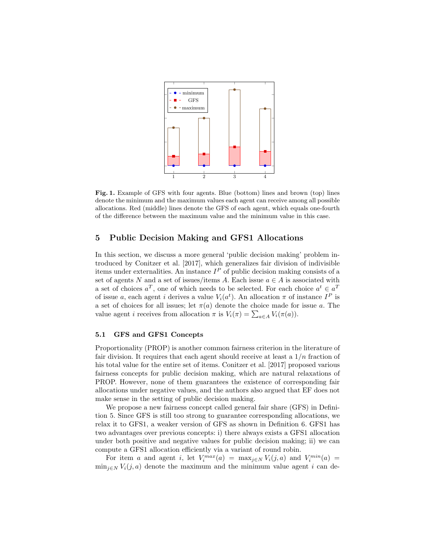

Fig. 1. Example of GFS with four agents. Blue (bottom) lines and brown (top) lines denote the minimum and the maximum values each agent can receive among all possible allocations. Red (middle) lines denote the GFS of each agent, which equals one-fourth of the difference between the maximum value and the minimum value in this case.

## 5 Public Decision Making and GFS1 Allocations

In this section, we discuss a more general 'public decision making' problem introduced by Conitzer et al. [2017], which generalizes fair division of indivisible items under externalities. An instance  $I^P$  of public decision making consists of a set of agents N and a set of issues/items A. Each issue  $a \in A$  is associated with a set of choices  $a^T$ , one of which needs to be selected. For each choice  $a^t \in a^T$ of issue a, each agent i derives a value  $V_i(a^t)$ . An allocation  $\pi$  of instance  $I^P$  is a set of choices for all issues; let  $\pi(a)$  denote the choice made for issue a. The value agent *i* receives from allocation  $\pi$  is  $V_i(\pi) = \sum_{a \in A} V_i(\pi(a)).$ 

### 5.1 GFS and GFS1 Concepts

Proportionality (PROP) is another common fairness criterion in the literature of fair division. It requires that each agent should receive at least a  $1/n$  fraction of his total value for the entire set of items. Conitzer et al. [2017] proposed various fairness concepts for public decision making, which are natural relaxations of PROP. However, none of them guarantees the existence of corresponding fair allocations under negative values, and the authors also argued that EF does not make sense in the setting of public decision making.

We propose a new fairness concept called general fair share (GFS) in Definition 5. Since GFS is still too strong to guarantee corresponding allocations, we relax it to GFS1, a weaker version of GFS as shown in Definition 6. GFS1 has two advantages over previous concepts: i) there always exists a GFS1 allocation under both positive and negative values for public decision making; ii) we can compute a GFS1 allocation efficiently via a variant of round robin.

For item a and agent i, let  $V_i^{max}(a) = \max_{j \in N} V_i(j, a)$  and  $V_i^{min}(a) =$  $\min_{j\in\mathbb{N}} V_i(j,a)$  denote the maximum and the minimum value agent i can de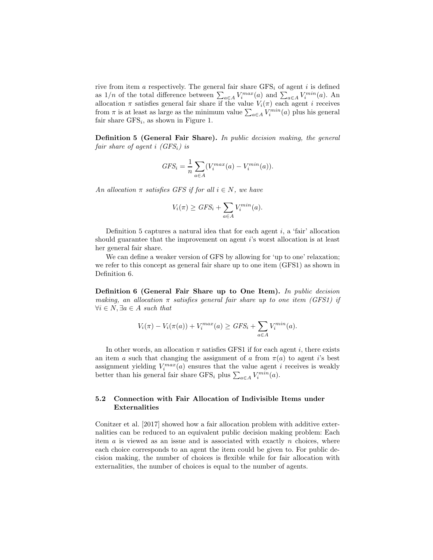rive from item a respectively. The general fair share  $GFS_i$  of agent i is defined as  $1/n$  of the total difference between  $\sum_{a \in A} V_i^{max}(a)$  and  $\sum_{a \in A} V_i^{min}(a)$ . An allocation  $\pi$  satisfies general fair share if the value  $V_i(\pi)$  each agent i receives from  $\pi$  is at least as large as the minimum value  $\sum_{a \in A} V_i^{min}(a)$  plus his general fair share  $GFS_i$ , as shown in Figure 1.

Definition 5 (General Fair Share). *In public decision making, the general fair share of agent* i *(GFS*i*) is*

$$
GFS_i = \frac{1}{n} \sum_{a \in A} (V_i^{max}(a) - V_i^{min}(a)).
$$

*An allocation*  $\pi$  *satisfies GFS if for all*  $i \in N$ *, we have* 

$$
V_i(\pi) \ge GFS_i + \sum_{a \in A} V_i^{min}(a).
$$

Definition 5 captures a natural idea that for each agent  $i$ , a 'fair' allocation should guarantee that the improvement on agent i's worst allocation is at least her general fair share.

We can define a weaker version of GFS by allowing for 'up to one' relaxation; we refer to this concept as general fair share up to one item (GFS1) as shown in Definition 6.

Definition 6 (General Fair Share up to One Item). *In public decision making, an allocation* π *satisfies general fair share up to one item (GFS1) if*  $∀i ∈ N, ∃a ∈ A such that$ 

$$
V_i(\pi) - V_i(\pi(a)) + V_i^{max}(a) \ge GFS_i + \sum_{a \in A} V_i^{min}(a).
$$

In other words, an allocation  $\pi$  satisfies GFS1 if for each agent i, there exists an item a such that changing the assignment of a from  $\pi(a)$  to agent i's best assignment yielding  $V_i^{max}(a)$  ensures that the value agent i receives is weakly better than his general fair share GFS<sub>i</sub> plus  $\sum_{a \in A} V_i^{min}(a)$ .

### 5.2 Connection with Fair Allocation of Indivisible Items under Externalities

Conitzer et al. [2017] showed how a fair allocation problem with additive externalities can be reduced to an equivalent public decision making problem: Each item  $a$  is viewed as an issue and is associated with exactly  $n$  choices, where each choice corresponds to an agent the item could be given to. For public decision making, the number of choices is flexible while for fair allocation with externalities, the number of choices is equal to the number of agents.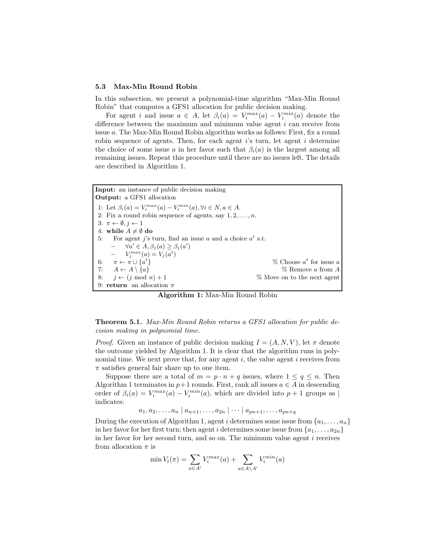#### 5.3 Max-Min Round Robin

In this subsection, we present a polynomial-time algorithm "Max-Min Round Robin" that computes a GFS1 allocation for public decision making.

For agent i and issue  $a \in A$ , let  $\beta_i(a) = V_i^{max}(a) - V_i^{min}(a)$  denote the difference between the maximum and minimum value agent i can receive from issue a. The Max-Min Round Robin algorithm works as follows: First, fix a round robin sequence of agents. Then, for each agent  $i$ 's turn, let agent  $i$  determine the choice of some issue a in her favor such that  $\beta_i(a)$  is the largest among all remaining issues. Repeat this procedure until there are no issues left. The details are described in Algorithm 1.

Input: an instance of public decision making Output: a GFS1 allocation 1: Let  $\beta_i(a) = V_i^{max}(a) - V_i^{min}(a), \forall i \in N, a \in A$ . 2: Fix a round robin sequence of agents, say  $1, 2, \ldots, n$ . 3:  $\pi \leftarrow \emptyset, j \leftarrow 1$ 4: while  $A \neq \emptyset$  do 5: For agent j's turn, find an issue a and a choice  $a^t$  s.t.  $- \forall a' \in A, \beta_j(a) \geq \beta_j(a')$  $-V_j^{max}(a) = V_j(a^t)$ 6:  $\pi \leftarrow \pi \cup \{a^t\}$  $\%$  Choose  $a^t$  for issue a 7:  $A \leftarrow A \setminus \{a\}$  % Remove a from A 8:  $j \leftarrow (j \mod n) + 1$  % Move on to the next agent 9: return an allocation  $\pi$ 

Algorithm 1: Max-Min Round Robin

Theorem 5.1. *Max-Min Round Robin returns a GFS1 allocation for public decision making in polynomial time.*

*Proof.* Given an instance of public decision making  $I = (A, N, V)$ , let  $\pi$  denote the outcome yielded by Algorithm 1. It is clear that the algorithm runs in polynomial time. We next prove that, for any agent  $i$ , the value agent  $i$  receives from  $\pi$  satisfies general fair share up to one item.

Suppose there are a total of  $m = p \cdot n + q$  issues, where  $1 \le q \le n$ . Then Algorithm 1 terminates in  $p+1$  rounds. First, rank all issues  $a \in A$  in descending order of  $\beta_i(a) = V_i^{max}(a) - V_i^{min}(a)$ , which are divided into  $p+1$  groups as | indicates:

 $a_1, a_2, \ldots, a_n | a_{n+1}, \ldots, a_{2n} | \cdots | a_{pn+1}, \ldots, a_{pn+q}$ 

During the execution of Algorithm 1, agent i determines some issue from  $\{a_1, \ldots, a_n\}$ in her favor for her first turn; then agent i determines some issue from  $\{a_1, \ldots, a_{2n}\}\$ in her favor for her second turn, and so on. The minimum value agent i receives from allocation  $\pi$  is

$$
\min V_i(\pi) = \sum_{a \in A'} V_i^{max}(a) + \sum_{a \in A \setminus A'} V_i^{min}(a)
$$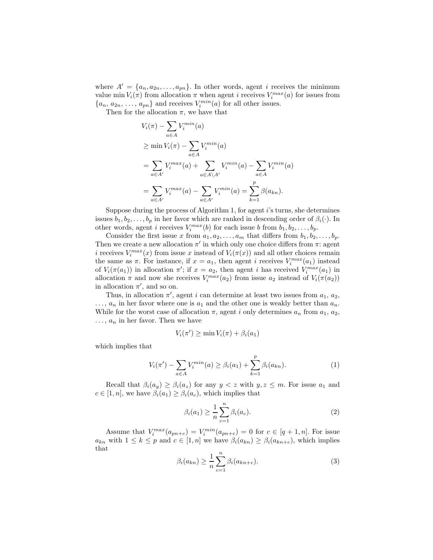where  $A' = \{a_n, a_{2n}, \ldots, a_{pn}\}.$  In other words, agent i receives the minimum value min  $V_i(\pi)$  from allocation  $\pi$  when agent *i* receives  $V_i^{max}(a)$  for issues from  $\{a_n, a_{2n}, \ldots, a_{pn}\}\$ and receives  $V_i^{min}(a)$  for all other issues.

Then for the allocation  $\pi$ , we have that

$$
V_i(\pi) - \sum_{a \in A} V_i^{min}(a)
$$
  
\n
$$
\geq \min V_i(\pi) - \sum_{a \in A} V_i^{min}(a)
$$
  
\n
$$
= \sum_{a \in A'} V_i^{max}(a) + \sum_{a \in A \setminus A'} V_i^{min}(a) - \sum_{a \in A} V_i^{min}(a)
$$
  
\n
$$
= \sum_{a \in A'} V_i^{max}(a) - \sum_{a \in A'} V_i^{min}(a) = \sum_{k=1}^p \beta(a_{kn}).
$$

Suppose during the process of Algorithm 1, for agent i's turns, she determines issues  $b_1, b_2, \ldots, b_p$  in her favor which are ranked in descending order of  $\beta_i(\cdot)$ . In other words, agent *i* receives  $V_i^{max}(b)$  for each issue *b* from  $b_1, b_2, \ldots, b_p$ .

Consider the first issue x from  $a_1, a_2, \ldots, a_m$  that differs from  $b_1, b_2, \ldots, b_p$ . Then we create a new allocation  $\pi'$  in which only one choice differs from  $\pi$ : agent *i* receives  $V_i^{max}(x)$  from issue x instead of  $V_i(\pi(x))$  and all other choices remain the same as  $\pi$ . For instance, if  $x = a_1$ , then agent i receives  $V_i^{max}(a_1)$  instead of  $V_i(\pi(a_1))$  in allocation  $\pi'$ ; if  $x = a_2$ , then agent i has received  $V_i^{max}(a_1)$  in allocation  $\pi$  and now she receives  $V_i^{max}(a_2)$  from issue  $a_2$  instead of  $V_i(\pi(a_2))$ in allocation  $\pi'$ , and so on.

Thus, in allocation  $\pi'$ , agent *i* can determine at least two issues from  $a_1$ ,  $a_2$ ,  $\ldots$ ,  $a_n$  in her favor where one is  $a_1$  and the other one is weakly better than  $a_n$ . While for the worst case of allocation  $\pi$ , agent i only determines  $a_n$  from  $a_1, a_2$ ,  $\ldots$ ,  $a_n$  in her favor. Then we have

$$
V_i(\pi') \ge \min V_i(\pi) + \beta_i(a_1)
$$

which implies that

$$
V_i(\pi') - \sum_{a \in A} V_i^{min}(a) \ge \beta_i(a_1) + \sum_{k=1}^p \beta_i(a_{kn}).
$$
 (1)

Recall that  $\beta_i(a_y) \geq \beta_i(a_z)$  for any  $y < z$  with  $y, z \leq m$ . For issue  $a_1$  and  $c \in [1, n]$ , we have  $\beta_i(a_1) \geq \beta_i(a_c)$ , which implies that

$$
\beta_i(a_1) \ge \frac{1}{n} \sum_{c=1}^n \beta_i(a_c). \tag{2}
$$

Assume that  $V_i^{max}(a_{pn+c}) = V_i^{min}(a_{pn+c}) = 0$  for  $c \in [q+1,n]$ . For issue  $a_{kn}$  with  $1 \leq k \leq p$  and  $c \in [1, n]$  we have  $\beta_i(a_{kn}) \geq \beta_i(a_{kn+c})$ , which implies that

$$
\beta_i(a_{kn}) \ge \frac{1}{n} \sum_{c=1}^n \beta_i(a_{kn+c}). \tag{3}
$$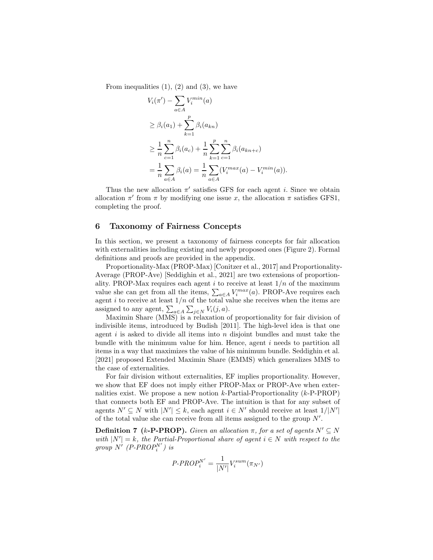From inequalities  $(1)$ ,  $(2)$  and  $(3)$ , we have

$$
V_i(\pi') - \sum_{a \in A} V_i^{min}(a)
$$
  
\n
$$
\geq \beta_i(a_1) + \sum_{k=1}^p \beta_i(a_{kn})
$$
  
\n
$$
\geq \frac{1}{n} \sum_{c=1}^n \beta_i(a_c) + \frac{1}{n} \sum_{k=1}^p \sum_{c=1}^n \beta_i(a_{kn+c})
$$
  
\n
$$
= \frac{1}{n} \sum_{a \in A} \beta_i(a) = \frac{1}{n} \sum_{a \in A} (V_i^{max}(a) - V_i^{min}(a)).
$$

Thus the new allocation  $\pi'$  satisfies GFS for each agent *i*. Since we obtain allocation  $\pi'$  from  $\pi$  by modifying one issue x, the allocation  $\pi$  satisfies GFS1, completing the proof.

#### 6 Taxonomy of Fairness Concepts

In this section, we present a taxonomy of fairness concepts for fair allocation with externalities including existing and newly proposed ones (Figure 2). Formal definitions and proofs are provided in the appendix.

Proportionality-Max (PROP-Max) [Conitzer et al., 2017] and Proportionality-Average (PROP-Ave) [Seddighin et al., 2021] are two extensions of proportionality. PROP-Max requires each agent  $i$  to receive at least  $1/n$  of the maximum value she can get from all the items,  $\sum_{a \in A} V_i^{max}(a)$ . PROP-Ave requires each agent i to receive at least  $1/n$  of the total value she receives when the items are assigned to any agent,  $\sum_{a \in A} \sum_{j \in N} V_i(j, a)$ .

Maximin Share (MMS) is a relaxation of proportionality for fair division of indivisible items, introduced by Budish [2011]. The high-level idea is that one agent  $i$  is asked to divide all items into  $n$  disjoint bundles and must take the bundle with the minimum value for him. Hence, agent  $i$  needs to partition all items in a way that maximizes the value of his minimum bundle. Seddighin et al. [2021] proposed Extended Maximin Share (EMMS) which generalizes MMS to the case of externalities.

For fair division without externalities, EF implies proportionality. However, we show that EF does not imply either PROP-Max or PROP-Ave when externalities exist. We propose a new notion  $k$ -Partial-Proportionality  $(k$ -P-PROP) that connects both EF and PROP-Ave. The intuition is that for any subset of agents  $N' \subseteq N$  with  $|N'| \leq k$ , each agent  $i \in N'$  should receive at least  $1/|N'|$ of the total value she can receive from all items assigned to the group  $N'$ .

**Definition 7** (k-**P-PROP**). *Given an allocation*  $\pi$ , *for a set of agents*  $N' \subseteq N$ *with*  $|N'| = k$ , the Partial-Proportional share of agent  $i \in N$  *with respect to the*  $group \ N' (P-PROP_i^N')$  is

$$
P\text{-}PROP_i^{N'} = \frac{1}{|N'|}V_i^{sum}(\pi_{N'})
$$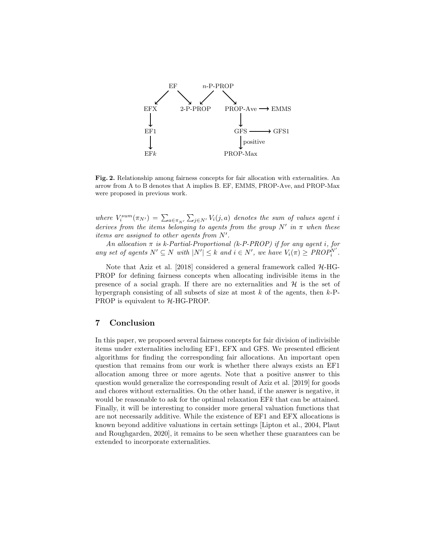

Fig. 2. Relationship among fairness concepts for fair allocation with externalities. An arrow from A to B denotes that A implies B. EF, EMMS, PROP-Ave, and PROP-Max were proposed in previous work.

where  $V_i^{sum}(\pi_{N'}) = \sum_{a \in \pi_{N'}} \sum_{j \in N'} V_i(j,a)$  denotes the sum of values agent i *derives from the items belonging to agents from the group*  $N'$  *in*  $\pi$  *when these items are assigned to other agents from* N′ *.*

*An allocation* π *is k-Partial-Proportional (k-P-PROP) if for any agent* i*, for any set of agents*  $N' \subseteq N$  *with*  $|N'| \leq k$  *and*  $i \in N'$ *, we have*  $V_i(\pi) \geq \text{PROP}_i^{N'}$ *.* 

Note that Aziz et al. [2018] considered a general framework called  $H$ -HG-PROP for defining fairness concepts when allocating indivisible items in the presence of a social graph. If there are no externalities and  $H$  is the set of hypergraph consisting of all subsets of size at most  $k$  of the agents, then  $k$ -P-PROP is equivalent to  $H$ -HG-PROP.

# 7 Conclusion

In this paper, we proposed several fairness concepts for fair division of indivisible items under externalities including EF1, EFX and GFS. We presented efficient algorithms for finding the corresponding fair allocations. An important open question that remains from our work is whether there always exists an EF1 allocation among three or more agents. Note that a positive answer to this question would generalize the corresponding result of Aziz et al. [2019] for goods and chores without externalities. On the other hand, if the answer is negative, it would be reasonable to ask for the optimal relaxation EFk that can be attained. Finally, it will be interesting to consider more general valuation functions that are not necessarily additive. While the existence of EF1 and EFX allocations is known beyond additive valuations in certain settings [Lipton et al., 2004, Plaut and Roughgarden, 2020], it remains to be seen whether these guarantees can be extended to incorporate externalities.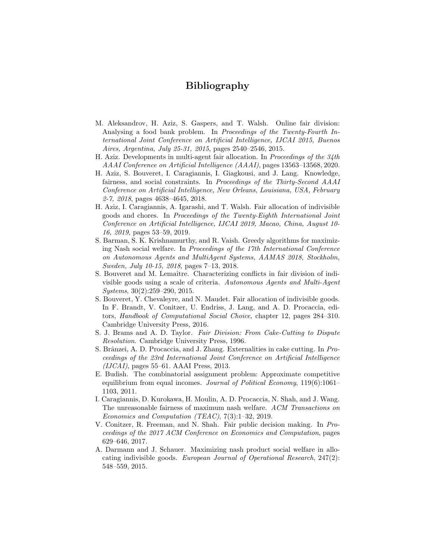# Bibliography

- M. Aleksandrov, H. Aziz, S. Gaspers, and T. Walsh. Online fair division: Analysing a food bank problem. In *Proceedings of the Twenty-Fourth International Joint Conference on Artificial Intelligence, IJCAI 2015, Buenos Aires, Argentina, July 25-31, 2015*, pages 2540–2546, 2015.
- H. Aziz. Developments in multi-agent fair allocation. In *Proceedings of the 34th AAAI Conference on Artificial Intelligence (AAAI)*, pages 13563–13568, 2020.
- H. Aziz, S. Bouveret, I. Caragiannis, I. Giagkousi, and J. Lang. Knowledge, fairness, and social constraints. In *Proceedings of the Thirty-Second AAAI Conference on Artificial Intelligence, New Orleans, Louisiana, USA, February 2-7, 2018*, pages 4638–4645, 2018.
- H. Aziz, I. Caragiannis, A. Igarashi, and T. Walsh. Fair allocation of indivisible goods and chores. In *Proceedings of the Twenty-Eighth International Joint Conference on Artificial Intelligence, IJCAI 2019, Macao, China, August 10- 16, 2019*, pages 53–59, 2019.
- S. Barman, S. K. Krishnamurthy, and R. Vaish. Greedy algorithms for maximizing Nash social welfare. In *Proceedings of the 17th International Conference on Autonomous Agents and MultiAgent Systems, AAMAS 2018, Stockholm, Sweden, July 10-15, 2018*, pages 7–13, 2018.
- S. Bouveret and M. Lemaître. Characterizing conflicts in fair division of indivisible goods using a scale of criteria. *Autonomous Agents and Multi-Agent Systems*, 30(2):259–290, 2015.
- S. Bouveret, Y. Chevaleyre, and N. Maudet. Fair allocation of indivisible goods. In F. Brandt, V. Conitzer, U. Endriss, J. Lang, and A. D. Procaccia, editors, *Handbook of Computational Social Choice*, chapter 12, pages 284–310. Cambridge University Press, 2016.
- S. J. Brams and A. D. Taylor. *Fair Division: From Cake-Cutting to Dispute Resolution*. Cambridge University Press, 1996.
- S. Brânzei, A. D. Procaccia, and J. Zhang. Externalities in cake cutting. In *Proceedings of the 23rd International Joint Conference on Artificial Intelligence (IJCAI)*, pages 55–61. AAAI Press, 2013.
- E. Budish. The combinatorial assignment problem: Approximate competitive equilibrium from equal incomes. *Journal of Political Economy*, 119(6):1061– 1103, 2011.
- I. Caragiannis, D. Kurokawa, H. Moulin, A. D. Procaccia, N. Shah, and J. Wang. The unreasonable fairness of maximum nash welfare. *ACM Transactions on Economics and Computation (TEAC)*, 7(3):1–32, 2019.
- V. Conitzer, R. Freeman, and N. Shah. Fair public decision making. In *Proceedings of the 2017 ACM Conference on Economics and Computation*, pages 629–646, 2017.
- A. Darmann and J. Schauer. Maximizing nash product social welfare in allocating indivisible goods. *European Journal of Operational Research*, 247(2): 548–559, 2015.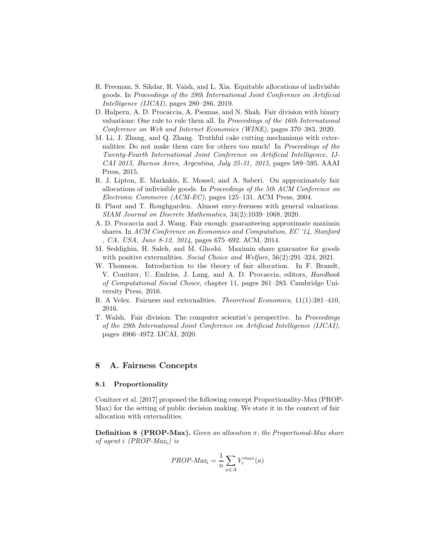- R. Freeman, S. Sikdar, R. Vaish, and L. Xia. Equitable allocations of indivisible goods. In *Proceedings of the 28th International Joint Conference on Artificial Intelligence (IJCAI)*, pages 280–286, 2019.
- D. Halpern, A. D. Procaccia, A. Psomas, and N. Shah. Fair division with binary valuations: One rule to rule them all. In *Proceedings of the 16th International Conference on Web and Internet Economics (WINE)*, pages 370–383, 2020.
- M. Li, J. Zhang, and Q. Zhang. Truthful cake cutting mechanisms with externalities: Do not make them care for others too much! In *Proceedings of the Twenty-Fourth International Joint Conference on Artificial Intelligence, IJ-CAI 2015, Buenos Aires, Argentina, July 25-31, 2015*, pages 589–595. AAAI Press, 2015.
- R. J. Lipton, E. Markakis, E. Mossel, and A. Saberi. On approximately fair allocations of indivisible goods. In *Proceedings of the 5th ACM Conference on Electronic Commerce (ACM-EC)*, pages 125–131. ACM Press, 2004.
- B. Plaut and T. Roughgarden. Almost envy-freeness with general valuations. *SIAM Journal on Discrete Mathematics*, 34(2):1039–1068, 2020.
- A. D. Procaccia and J. Wang. Fair enough: guaranteeing approximate maximin shares. In *ACM Conference on Economics and Computation, EC '14, Stanford , CA, USA, June 8-12, 2014*, pages 675–692. ACM, 2014.
- M. Seddighin, H. Saleh, and M. Ghodsi. Maximin share guarantee for goods with positive externalities. *Social Choice and Welfare*, 56(2):291–324, 2021.
- W. Thomson. Introduction to the theory of fair allocation. In F. Brandt, V. Conitzer, U. Endriss, J. Lang, and A. D. Procaccia, editors, *Handbook of Computational Social Choice*, chapter 11, pages 261–283. Cambridge University Press, 2016.
- R. A Velez. Fairness and externalities. *Theoretical Economics*, 11(1):381–410, 2016.
- T. Walsh. Fair division: The computer scientist's perspective. In *Proceedings of the 29th International Joint Conference on Artificial Intelligence (IJCAI)*, pages 4966–4972. IJCAI, 2020.

## 8 A. Fairness Concepts

#### 8.1 Proportionality

Conitzer et al. [2017] proposed the following concept Proportionality-Max (PROP-Max) for the setting of public decision making. We state it in the context of fair allocation with externalities.

Definition 8 (PROP-Max). *Given an allocation* π*, the Proportional-Max share of agent* i *(PROP-Max*i*) is*

$$
PROP\text{-}Max_i = \frac{1}{n} \sum_{a \in A} V_i^{max}(a)
$$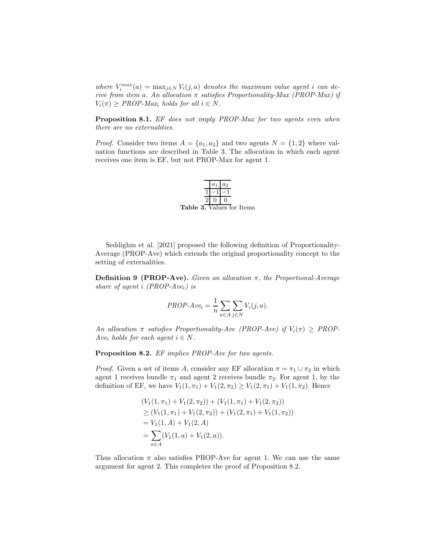*where*  $V_i^{max}(a) = \max_{j \in N} V_i(j, a)$  *denotes the maximum value agent i can derive from item* a*. An allocation* π *satisfies Proportionality-Max (PROP-Max) if*  $V_i(\pi) \geq \text{PROP-Max}_i$  *holds for all*  $i \in N$ .

Proposition 8.1. *EF does not imply PROP-Max for two agents even when there are no externalities.*

*Proof.* Consider two items  $A = \{a_1, a_2\}$  and two agents  $N = \{1, 2\}$  where valuation functions are described in Table 3. The allocation in which each agent receives one item is EF, but not PROP-Max for agent 1.



Seddighin et al. [2021] proposed the following definition of Proportionality-Average (PROP-Ave) which extends the original proportionality concept to the setting of externalities.

Definition 9 (PROP-Ave). *Given an allocation* π*, the Proportional-Average share of agent* i *(PROP-Ave*i*) is*

$$
PROP-Ave_i = \frac{1}{n} \sum_{a \in A} \sum_{j \in N} V_i(j, a).
$$

*An allocation*  $\pi$  *satisfies Proportionality-Ave (PROP-Ave)* if  $V_i(\pi) \geq PROP$ -*Avei holds for each agent*  $i \in N$ *.* 

Proposition 8.2. *EF implies PROP-Ave for two agents.*

*Proof.* Given a set of items A, consider any EF allocation  $\pi = \pi_1 \cup \pi_2$  in which agent 1 receives bundle  $\pi_1$  and agent 2 receives bundle  $\pi_2$ . For agent 1, by the definition of EF, we have  $V_1(1, \pi_1) + V_1(2, \pi_2) \ge V_1(2, \pi_1) + V_1(1, \pi_2)$ . Hence

$$
(V_1(1, \pi_1) + V_1(2, \pi_2)) + (V_1(1, \pi_1) + V_1(2, \pi_2))
$$
  
\n
$$
\geq (V_1(1, \pi_1) + V_1(2, \pi_2)) + (V_1(2, \pi_1) + V_1(1, \pi_2))
$$
  
\n
$$
= V_1(1, A) + V_1(2, A)
$$
  
\n
$$
= \sum_{a \in A} (V_1(1, a) + V_1(2, a)).
$$

Thus allocation  $\pi$  also satisfies PROP-Ave for agent 1. We can use the same argument for agent 2. This completes the proof of Proposition 8.2.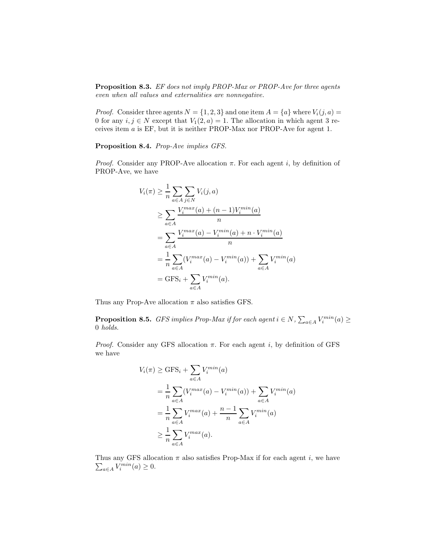Proposition 8.3. *EF does not imply PROP-Max or PROP-Ave for three agents even when all values and externalities are nonnegative.*

*Proof.* Consider three agents  $N = \{1, 2, 3\}$  and one item  $A = \{a\}$  where  $V_i(j, a)$ 0 for any  $i, j \in N$  except that  $V_1(2, a) = 1$ . The allocation in which agent 3 receives item a is EF, but it is neither PROP-Max nor PROP-Ave for agent 1.

Proposition 8.4. *Prop-Ave implies GFS.*

*Proof.* Consider any PROP-Ave allocation  $\pi$ . For each agent i, by definition of PROP-Ave, we have

$$
V_i(\pi) \geq \frac{1}{n} \sum_{a \in A} \sum_{j \in N} V_i(j, a)
$$
  
\n
$$
\geq \sum_{a \in A} \frac{V_i^{max}(a) + (n - 1)V_i^{min}(a)}{n}
$$
  
\n
$$
= \sum_{a \in A} \frac{V_i^{max}(a) - V_i^{min}(a) + n \cdot V_i^{min}(a)}{n}
$$
  
\n
$$
= \frac{1}{n} \sum_{a \in A} (V_i^{max}(a) - V_i^{min}(a)) + \sum_{a \in A} V_i^{min}(a)
$$
  
\n
$$
= GFS_i + \sum_{a \in A} V_i^{min}(a).
$$

Thus any Prop-Ave allocation  $\pi$  also satisfies GFS.

**Proposition 8.5.** *GFS implies Prop-Max if for each agent*  $i \in N$ ,  $\sum_{a \in A} V_i^{min}(a) \ge$ 0 *holds.*

*Proof.* Consider any GFS allocation  $\pi$ . For each agent i, by definition of GFS we have

$$
V_i(\pi) \ge \text{GFS}_i + \sum_{a \in A} V_i^{min}(a)
$$
  
= 
$$
\frac{1}{n} \sum_{a \in A} (V_i^{max}(a) - V_i^{min}(a)) + \sum_{a \in A} V_i^{min}(a)
$$
  
= 
$$
\frac{1}{n} \sum_{a \in A} V_i^{max}(a) + \frac{n-1}{n} \sum_{a \in A} V_i^{min}(a)
$$
  

$$
\ge \frac{1}{n} \sum_{a \in A} V_i^{max}(a).
$$

Thus any GFS allocation  $\pi$  also satisfies Prop-Max if for each agent *i*, we have  $\sum_{a \in A} V_i^{min}(a) \ge 0$ .  $_{a\in A}V_i^{min}(a)\geq 0.$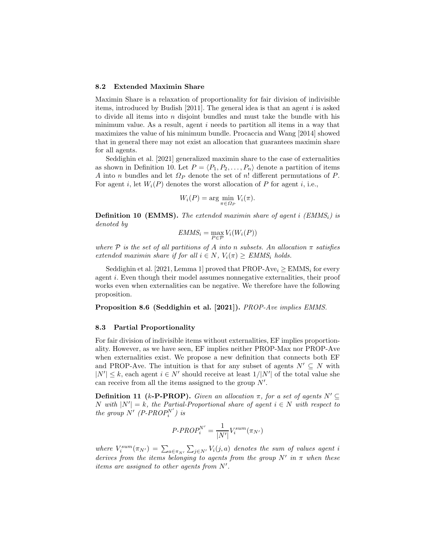#### 8.2 Extended Maximin Share

Maximin Share is a relaxation of proportionality for fair division of indivisible items, introduced by Budish  $[2011]$ . The general idea is that an agent i is asked to divide all items into  $n$  disjoint bundles and must take the bundle with his minimum value. As a result, agent i needs to partition all items in a way that maximizes the value of his minimum bundle. Procaccia and Wang [2014] showed that in general there may not exist an allocation that guarantees maximin share for all agents.

Seddighin et al. [2021] generalized maximin share to the case of externalities as shown in Definition 10. Let  $P = \langle P_1, P_2, \ldots, P_n \rangle$  denote a partition of items A into n bundles and let  $\Omega_P$  denote the set of n! different permutations of P. For agent i, let  $W_i(P)$  denotes the worst allocation of P for agent i, i.e.,

$$
W_i(P) = \arg\min_{\pi \in \Omega_P} V_i(\pi).
$$

Definition 10 (EMMS). *The extended maximin share of agent* i *(EMMS*i*) is denoted by*

$$
EMMS_i = \max_{P \in \mathcal{P}} V_i(W_i(P))
$$

*where*  $P$  *is the set of all partitions of* A *into* n *subsets.* An allocation  $\pi$  *satisfies extended maximin share if for all*  $i \in N$ ,  $V_i(\pi) \geq EMMS_i$  *holds.* 

Seddighin et al. [2021, Lemma 1] proved that PROP-Ave<sub>i</sub>  $\geq$  EMMS<sub>i</sub> for every agent i. Even though their model assumes nonnegative externalities, their proof works even when externalities can be negative. We therefore have the following proposition.

Proposition 8.6 (Seddighin et al. [2021]). *PROP-Ave implies EMMS.*

#### 8.3 Partial Proportionality

For fair division of indivisible items without externalities, EF implies proportionality. However, as we have seen, EF implies neither PROP-Max nor PROP-Ave when externalities exist. We propose a new definition that connects both EF and PROP-Ave. The intuition is that for any subset of agents  $N' \subseteq N$  with  $|N'| \leq k$ , each agent  $i \in N'$  should receive at least  $1/|N'|$  of the total value she can receive from all the items assigned to the group  $N'$ .

**Definition 11** (k-**P-PROP**). *Given an allocation* π, for a set of agents  $N'$  ⊆  $N$  *with*  $|N'| = k$ *, the Partial-Proportional share of agent*  $i ∈ N$  *with respect to the group*  $N'$  (P-PROP<sup>N'</sup>) is

$$
P\text{-}PROP_i^{N'} = \frac{1}{|N'|}V_i^{sum}(\pi_{N'})
$$

where  $V_i^{sum}(\pi_{N'}) = \sum_{a \in \pi_{N'}} \sum_{j \in N'} V_i(j,a)$  denotes the sum of values agent i *derives from the items belonging to agents from the group*  $N'$  *in*  $\pi$  *when these items are assigned to other agents from* N′ *.*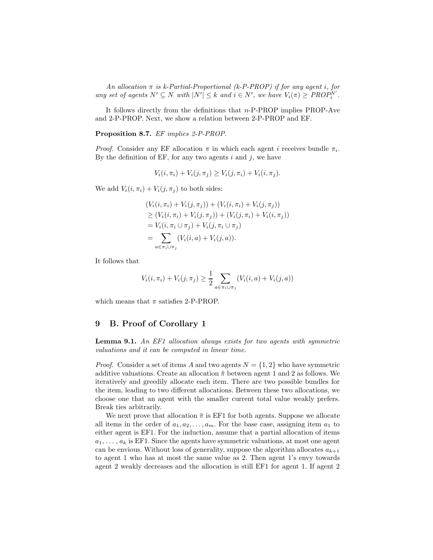*An allocation* π *is k-Partial-Proportional (k-P-PROP) if for any agent* i*, for any set of agents*  $N' \subseteq N$  *with*  $|N'| \leq k$  *and*  $i \in N'$ *, we have*  $V_i(\pi) \geq PROP_i^N'$ *.* 

It follows directly from the definitions that n-P-PROP implies PROP-Ave and 2-P-PROP. Next, we show a relation between 2-P-PROP and EF.

Proposition 8.7. *EF implies 2-P-PROP.*

*Proof.* Consider any EF allocation  $\pi$  in which each agent i receives bundle  $\pi_i$ . By the definition of EF, for any two agents  $i$  and  $j$ , we have

$$
V_i(i, \pi_i) + V_i(j, \pi_j) \ge V_i(j, \pi_i) + V_i(i, \pi_j).
$$

We add  $V_i(i, \pi_i) + V_i(j, \pi_j)$  to both sides:

$$
(V_i(i, \pi_i) + V_i(j, \pi_j)) + (V_i(i, \pi_i) + V_i(j, \pi_j))
$$
  
\n
$$
\geq (V_i(i, \pi_i) + V_i(j, \pi_j)) + (V_i(j, \pi_i) + V_i(i, \pi_j))
$$
  
\n
$$
= V_i(i, \pi_i \cup \pi_j) + V_i(j, \pi_i \cup \pi_j)
$$
  
\n
$$
= \sum_{a \in \pi_i \cup \pi_j} (V_i(i, a) + V_i(j, a)).
$$

It follows that

$$
V_i(i, \pi_i) + V_i(j, \pi_j) \ge \frac{1}{2} \sum_{a \in \pi_i \cup \pi_j} (V_i(i, a) + V_i(j, a))
$$

which means that  $\pi$  satisfies 2-P-PROP.

### 9 B. Proof of Corollary 1

Lemma 9.1. *An EF1 allocation always exists for two agents with symmetric valuations and it can be computed in linear time.*

*Proof.* Consider a set of items A and two agents  $N = \{1, 2\}$  who have symmetric additive valuations. Create an allocation  $\tilde{\pi}$  between agent 1 and 2 as follows. We iteratively and greedily allocate each item. There are two possible bundles for the item, leading to two different allocations. Between these two allocations, we choose one that an agent with the smaller current total value weakly prefers. Break ties arbitrarily.

We next prove that allocation  $\tilde{\pi}$  is EF1 for both agents. Suppose we allocate all items in the order of  $a_1, a_2, \ldots, a_m$ . For the base case, assigning item  $a_1$  to either agent is EF1. For the induction, assume that a partial allocation of items  $a_1, \ldots, a_k$  is EF1. Since the agents have symmetric valuations, at most one agent can be envious. Without loss of generality, suppose the algorithm allocates  $a_{k+1}$ to agent 1 who has at most the same value as 2. Then agent 1's envy towards agent 2 weakly decreases and the allocation is still EF1 for agent 1. If agent 2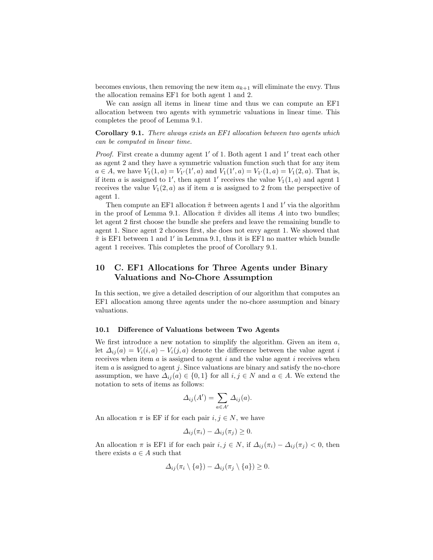becomes envious, then removing the new item  $a_{k+1}$  will eliminate the envy. Thus the allocation remains EF1 for both agent 1 and 2.

We can assign all items in linear time and thus we can compute an EF1 allocation between two agents with symmetric valuations in linear time. This completes the proof of Lemma 9.1.

Corollary 9.1. *There always exists an EF1 allocation between two agents which can be computed in linear time.*

Proof. First create a dummy agent 1' of 1. Both agent 1 and 1' treat each other as agent 2 and they have a symmetric valuation function such that for any item  $a \in A$ , we have  $V_1(1, a) = V_{1'}(1', a)$  and  $V_1(1', a) = V_{1'}(1, a) = V_1(2, a)$ . That is, if item a is assigned to 1', then agent 1' receives the value  $V_1(1,a)$  and agent 1 receives the value  $V_1(2, a)$  as if item a is assigned to 2 from the perspective of agent 1.

Then compute an EF1 allocation  $\tilde{\pi}$  between agents 1 and 1' via the algorithm in the proof of Lemma 9.1. Allocation  $\tilde{\pi}$  divides all items A into two bundles; let agent 2 first choose the bundle she prefers and leave the remaining bundle to agent 1. Since agent 2 chooses first, she does not envy agent 1. We showed that  $\tilde{\pi}$  is EF1 between 1 and 1' in Lemma 9.1, thus it is EF1 no matter which bundle agent 1 receives. This completes the proof of Corollary 9.1.

# 10 C. EF1 Allocations for Three Agents under Binary Valuations and No-Chore Assumption

In this section, we give a detailed description of our algorithm that computes an EF1 allocation among three agents under the no-chore assumption and binary valuations.

#### 10.1 Difference of Valuations between Two Agents

We first introduce a new notation to simplify the algorithm. Given an item  $a$ , let  $\Delta_{ii}(a) = V_i(i, a) - V_i(j, a)$  denote the difference between the value agent i receives when item  $a$  is assigned to agent  $i$  and the value agent  $i$  receives when item  $\alpha$  is assigned to agent  $j$ . Since valuations are binary and satisfy the no-chore assumption, we have  $\Delta_{ii}(a) \in \{0,1\}$  for all  $i, j \in N$  and  $a \in A$ . We extend the notation to sets of items as follows:

$$
\Delta_{ij}(A') = \sum_{a \in A'} \Delta_{ij}(a).
$$

An allocation  $\pi$  is EF if for each pair  $i, j \in N$ , we have

$$
\Delta_{ij}(\pi_i) - \Delta_{ij}(\pi_j) \ge 0.
$$

An allocation  $\pi$  is EF1 if for each pair  $i, j \in N$ , if  $\Delta_{ij}(\pi_i) - \Delta_{ij}(\pi_j) < 0$ , then there exists  $a \in A$  such that

$$
\Delta_{ij}(\pi_i \setminus \{a\}) - \Delta_{ij}(\pi_j \setminus \{a\}) \geq 0.
$$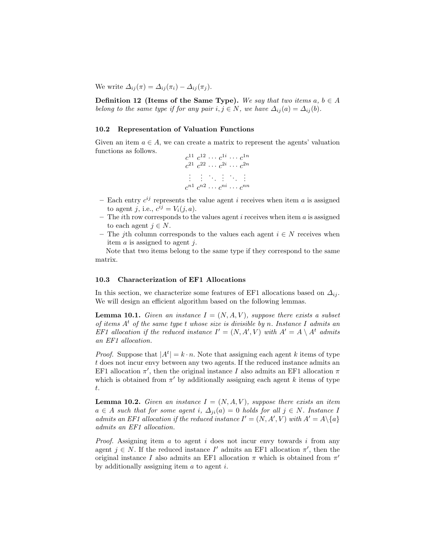We write  $\Delta_{ij}(\pi) = \Delta_{ij}(\pi_i) - \Delta_{ij}(\pi_j)$ .

**Definition 12** (Items of the Same Type). We say that two items  $a, b \in A$ *belong to the same type if for any pair*  $i, j \in N$ *, we have*  $\Delta_{ij}(a) = \Delta_{ij}(b)$ *.* 

#### 10.2 Representation of Valuation Functions

Given an item  $a \in A$ , we can create a matrix to represent the agents' valuation functions as follows.

$$
c^{11} c^{12} \cdots c^{1i} \cdots c^{1n}
$$
  
\n
$$
c^{21} c^{22} \cdots c^{2i} \cdots c^{2n}
$$
  
\n
$$
\vdots \qquad \vdots \qquad \vdots
$$
  
\n
$$
c^{n1} c^{n2} \cdots c^{ni} \cdots c^{nn}
$$

- Each entry  $c^{ij}$  represents the value agent i receives when item a is assigned to agent j, i.e.,  $c^{ij} = V_i(j, a)$ .
- The *i*th row corresponds to the values agent *i* receives when item  $a$  is assigned to each agent  $j \in N$ .
- The jth column corresponds to the values each agent  $i \in N$  receives when item  $\alpha$  is assigned to agent  $j$ .

Note that two items belong to the same type if they correspond to the same matrix.

#### 10.3 Characterization of EF1 Allocations

In this section, we characterize some features of EF1 allocations based on  $\Delta_{ii}$ . We will design an efficient algorithm based on the following lemmas.

**Lemma 10.1.** *Given an instance*  $I = (N, A, V)$ *, suppose there exists a subset of items* A<sup>t</sup> *of the same type* t *whose size is divisible by* n*. Instance* I *admits an EF1* allocation if the reduced instance  $I' = (N, A', V)$  with  $A' = A \setminus A^t$  admits *an EF1 allocation.*

*Proof.* Suppose that  $|A^t| = k \cdot n$ . Note that assigning each agent k items of type t does not incur envy between any two agents. If the reduced instance admits an EF1 allocation  $\pi'$ , then the original instance I also admits an EF1 allocation  $\pi$ which is obtained from  $\pi'$  by additionally assigning each agent k items of type t.

**Lemma 10.2.** *Given an instance*  $I = (N, A, V)$ *, suppose there exists an item*  $a \in A$  *such that for some agent i,*  $\Delta_{ii}(a) = 0$  *holds for all*  $j \in N$ *. Instance* I *admits an EF1 allocation if the reduced instance*  $I' = (N, A', V)$  with  $A' = A \setminus \{a\}$ *admits an EF1 allocation.*

*Proof.* Assigning item a to agent i does not incur envy towards i from any agent  $j \in N$ . If the reduced instance I' admits an EF1 allocation  $\pi'$ , then the original instance I also admits an EF1 allocation  $\pi$  which is obtained from  $\pi'$ by additionally assigning item  $a$  to agent  $i$ .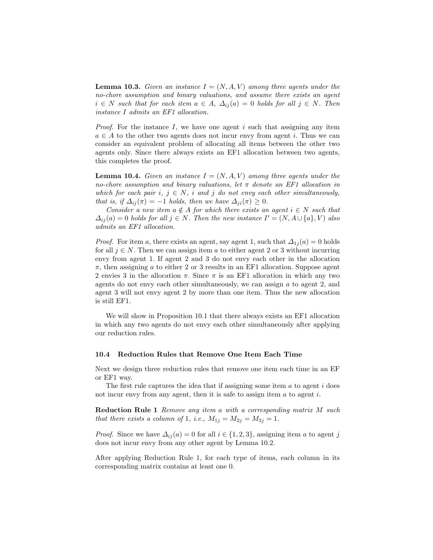**Lemma 10.3.** Given an instance  $I = (N, A, V)$  among three agents under the *no-chore assumption and binary valuations, and assume there exists an agent*  $i \in N$  *such that for each item*  $a \in A$ ,  $\Delta_{ij}(a) = 0$  *holds for all*  $j \in N$ *. Then instance* I *admits an EF1 allocation.*

*Proof.* For the instance I, we have one agent i such that assigning any item  $a \in A$  to the other two agents does not incur envy from agent *i*. Thus we can consider an equivalent problem of allocating all items between the other two agents only. Since there always exists an EF1 allocation between two agents, this completes the proof.

**Lemma 10.4.** *Given an instance*  $I = (N, A, V)$  *among three agents under the no-chore assumption and binary valuations, let* π *denote an EF1 allocation in which for each pair*  $i, j \in N$ , i and j do not envy each other simultaneously, *that is, if*  $\Delta_{ij}(\pi) = -1$  *holds, then we have*  $\Delta_{ji}(\pi) \geq 0$ *.* 

*Consider a new item*  $a \notin A$  *for which there exists an agent*  $i \in N$  *such that*  $\Delta_{ij}(a) = 0$  *holds for all*  $j \in N$ . Then the new instance  $I' = (N, A \cup \{a\}, V)$  also *admits an EF1 allocation.*

*Proof.* For item a, there exists an agent, say agent 1, such that  $\Delta_{1j}(a) = 0$  holds for all  $j \in N$ . Then we can assign item a to either agent 2 or 3 without incurring envy from agent 1. If agent 2 and 3 do not envy each other in the allocation  $\pi$ , then assigning a to either 2 or 3 results in an EF1 allocation. Suppose agent 2 envies 3 in the allocation  $\pi$ . Since  $\pi$  is an EF1 allocation in which any two agents do not envy each other simultaneously, we can assign a to agent 2, and agent 3 will not envy agent 2 by more than one item. Thus the new allocation is still EF1.

We will show in Proposition 10.1 that there always exists an EF1 allocation in which any two agents do not envy each other simultaneously after applying our reduction rules.

#### 10.4 Reduction Rules that Remove One Item Each Time

Next we design three reduction rules that remove one item each time in an EF or EF1 way.

The first rule captures the idea that if assigning some item  $a$  to agent  $i$  does not incur envy from any agent, then it is safe to assign item  $a$  to agent  $i$ .

Reduction Rule 1 *Remove any item* a *with a corresponding matrix* M *such that there exists a column of* 1*, i.e.,*  $M_{1j} = M_{2j} = M_{3j} = 1$ *.* 

*Proof.* Since we have  $\Delta_{ij}(a) = 0$  for all  $i \in \{1, 2, 3\}$ , assigning item a to agent j does not incur envy from any other agent by Lemma 10.2.

After applying Reduction Rule 1, for each type of items, each column in its corresponding matrix contains at least one 0.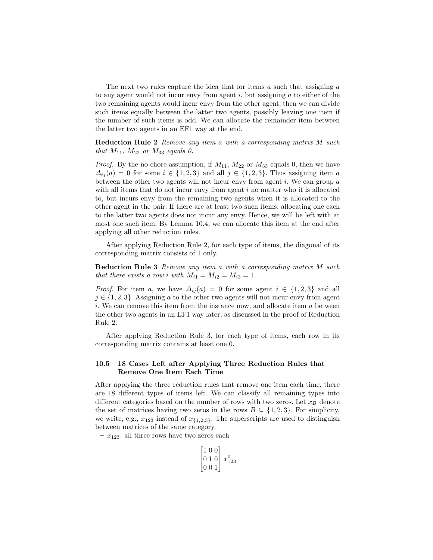The next two rules capture the idea that for items  $a$  such that assigning  $a$ to any agent would not incur envy from agent  $i$ , but assigning  $a$  to either of the two remaining agents would incur envy from the other agent, then we can divide such items equally between the latter two agents, possibly leaving one item if the number of such items is odd. We can allocate the remainder item between the latter two agents in an EF1 way at the end.

Reduction Rule 2 *Remove any item* a *with a corresponding matrix* M *such that*  $M_{11}$ *,*  $M_{22}$  *or*  $M_{33}$  *equals 0.* 

*Proof.* By the no-chore assumption, if  $M_{11}$ ,  $M_{22}$  or  $M_{33}$  equals 0, then we have  $\Delta_{ii}(a) = 0$  for some  $i \in \{1,2,3\}$  and all  $j \in \{1,2,3\}$ . Thus assigning item a between the other two agents will not incur envy from agent  $i$ . We can group  $a$ with all items that do not incur envy from agent  $i$  no matter who it is allocated to, but incurs envy from the remaining two agents when it is allocated to the other agent in the pair. If there are at least two such items, allocating one each to the latter two agents does not incur any envy. Hence, we will be left with at most one such item. By Lemma 10.4, we can allocate this item at the end after applying all other reduction rules.

After applying Reduction Rule 2, for each type of items, the diagonal of its corresponding matrix consists of 1 only.

Reduction Rule 3 *Remove any item* a *with a corresponding matrix* M *such that there exists a row i with*  $M_{i1} = M_{i2} = M_{i3} = 1$ *.* 

*Proof.* For item a, we have  $\Delta_{ij}(a) = 0$  for some agent  $i \in \{1,2,3\}$  and all  $j \in \{1, 2, 3\}$ . Assigning a to the other two agents will not incur envy from agent i. We can remove this item from the instance now, and allocate item a between the other two agents in an EF1 way later, as discussed in the proof of Reduction Rule 2.

After applying Reduction Rule 3, for each type of items, each row in its corresponding matrix contains at least one 0.

#### 10.5 18 Cases Left after Applying Three Reduction Rules that Remove One Item Each Time

After applying the three reduction rules that remove one item each time, there are 18 different types of items left. We can classify all remaining types into different categories based on the number of rows with two zeros. Let  $x_B$  denote the set of matrices having two zeros in the rows  $B \subseteq \{1, 2, 3\}$ . For simplicity, we write, e.g.,  $x_{123}$  instead of  $x_{\{1,2,3\}}$ . The superscripts are used to distinguish between matrices of the same category.

 $- x_{123}$ : all three rows have two zeros each

$$
\begin{bmatrix} 1 & 0 & 0 \\ 0 & 1 & 0 \\ 0 & 0 & 1 \end{bmatrix} x_{123}^0
$$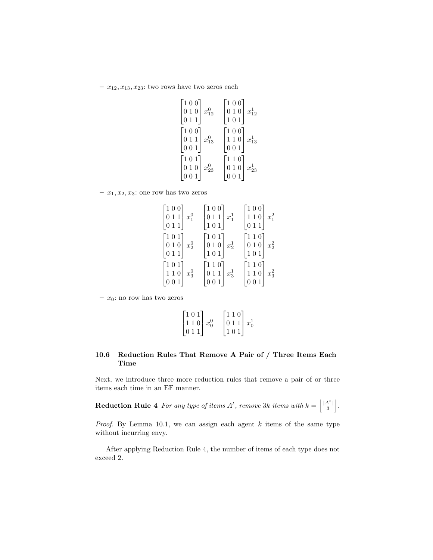$- x_{12}, x_{13}, x_{23}$ : two rows have two zeros each

| $\begin{bmatrix} 1 & 0 & 0 \end{bmatrix}$ | $\lceil 100 \rceil$ |
|-------------------------------------------|---------------------|
| 0 1 0 $x_{12}^0$                          | 0 1 0 $x_{12}^1$    |
| $\vert 0\ 1\ 1$                           | 101                 |
| $\lceil 1\ 0\ 0 \rceil$                   | $\lceil 100 \rceil$ |
| $ 0\ 1\ 1  \ x_{13}^0$                    | $ 110  x_{13}^1$    |
| 001                                       | $0\;0\;1$           |
| $\lceil 1 \ 0 \ 1 \rceil$                 | $\lceil 110 \rceil$ |
| 0 1 0 $x_{23}^0$                          | 0 1 0 $x_{23}^1$    |
| $0\;0\;1$                                 | $0\;0\;1$           |

 $- x_1, x_2, x_3$ : one row has two zeros

| $\begin{bmatrix} 1 & 0 & 0 \\ 0 & 1 & 1 \\ 0 & 1 & 1 \end{bmatrix} x_1^0$                                               | $\lceil 100 \rceil$<br>$\left 0\ 1\ 1\right $ $x_1^1$<br>$\left[1\ 0\ 1\right]$              | $\lceil 100 \rceil$<br>$110 \mid x_1^2$<br>$\left[0\,1\,1\right]$                            |
|-------------------------------------------------------------------------------------------------------------------------|----------------------------------------------------------------------------------------------|----------------------------------------------------------------------------------------------|
| $\begin{bmatrix} 1 & 0 & 1 \\ 0 & 1 & 0 \\ \end{bmatrix} \begin{bmatrix} x_2^0 \end{bmatrix}$<br>$\left[0\,1\,1\right]$ | $\lceil 1 \ 0 \ 1 \rceil$<br>$ 0\ 1\ 0  x_2^1$<br>$\left[101\right]$                         | $\lceil 110 \rceil$<br>$ 0\ 1\ 0  x_2^2$<br>$\left[101\right]$                               |
| $\begin{bmatrix} 1 & 0 & 1 \end{bmatrix}$<br>$\begin{bmatrix} 1 & 1 & 0 \\ 0 & 0 & 1 \end{bmatrix}$ $x_3^0$             | $\lceil 1\,1\,0 \rceil$<br>$\begin{bmatrix} 0 & 1 & 1 \\ 0 & 0 & 1 \end{bmatrix}$<br>$x_3^1$ | $\lceil 1\,1\,0 \rceil$<br>$x_3^2$<br>$\begin{bmatrix} 1 & 1 & 0 \\ 0 & 0 & 1 \end{bmatrix}$ |

–  $x_0$ : no row has two zeros

$$
\begin{bmatrix} 1 & 0 & 1 \\ 1 & 1 & 0 \\ 0 & 1 & 1 \end{bmatrix} x_0^0 \quad \begin{bmatrix} 1 & 1 & 0 \\ 0 & 1 & 1 \\ 1 & 0 & 1 \end{bmatrix} x_0^1
$$

## 10.6 Reduction Rules That Remove A Pair of / Three Items Each Time

Next, we introduce three more reduction rules that remove a pair of or three items each time in an EF manner.

**Reduction Rule 4** For any type of items  $A^t$ , remove 3k items with  $k = \left| \frac{A^t}{3} \right|$ .

*Proof.* By Lemma 10.1, we can assign each agent  $k$  items of the same type without incurring envy.

After applying Reduction Rule 4, the number of items of each type does not exceed 2.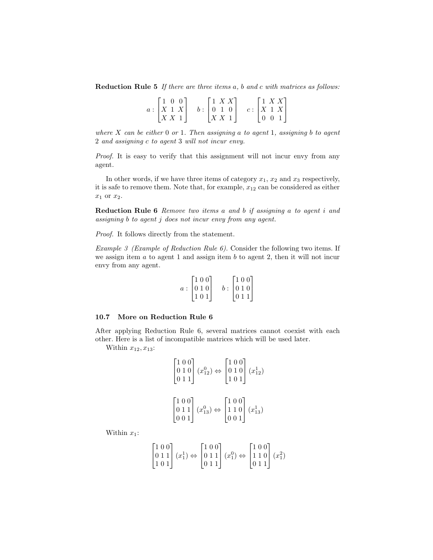Reduction Rule 5 *If there are three items* a*,* b *and* c *with matrices as follows:*

| 100        | $\left  \begin{array}{c} 1 & X & X \end{array} \right $ |  | $\lfloor 1 \right $ X X $\lfloor$         |  |
|------------|---------------------------------------------------------|--|-------------------------------------------|--|
| a:  X  1 X | b: 0 1 0                                                |  | c:  X 1 X                                 |  |
| X X 1      | X X 1                                                   |  | $\begin{pmatrix} 0 & 0 & 1 \end{pmatrix}$ |  |

*where* X *can be either* 0 *or* 1*. Then assigning* a *to agent* 1*, assigning* b *to agent* 2 *and assigning* c *to agent* 3 *will not incur envy.*

*Proof.* It is easy to verify that this assignment will not incur envy from any agent.

In other words, if we have three items of category  $x_1, x_2$  and  $x_3$  respectively, it is safe to remove them. Note that, for example,  $x_{12}$  can be considered as either  $x_1$  or  $x_2$ .

Reduction Rule 6 *Remove two items* a *and* b *if assigning* a *to agent* i *and assigning* b *to agent* j *does not incur envy from any agent.*

*Proof.* It follows directly from the statement.

*Example 3 (Example of Reduction Rule 6).* Consider the following two items. If we assign item  $a$  to agent 1 and assign item  $b$  to agent 2, then it will not incur envy from any agent.

$$
a:\begin{bmatrix} 1 & 0 & 0 \\ 0 & 1 & 0 \\ 1 & 0 & 1 \end{bmatrix} \quad b:\begin{bmatrix} 1 & 0 & 0 \\ 0 & 1 & 0 \\ 0 & 1 & 1 \end{bmatrix}
$$

#### 10.7 More on Reduction Rule 6

After applying Reduction Rule 6, several matrices cannot coexist with each other. Here is a list of incompatible matrices which will be used later.

Within  $x_{12}, x_{13}$ :

$$
\begin{bmatrix} 1 & 0 & 0 \\ 0 & 1 & 0 \\ 0 & 1 & 1 \end{bmatrix} (x_{12}^0) \Leftrightarrow \begin{bmatrix} 1 & 0 & 0 \\ 0 & 1 & 0 \\ 1 & 0 & 1 \end{bmatrix} (x_{12}^1)
$$

$$
\begin{bmatrix} 1 & 0 & 0 \\ 0 & 1 & 1 \\ 0 & 0 & 1 \end{bmatrix} (x_{13}^0) \Leftrightarrow \begin{bmatrix} 1 & 0 & 0 \\ 1 & 1 & 0 \\ 0 & 0 & 1 \end{bmatrix} (x_{13}^1)
$$

Within  $x_1$ :

$$
\begin{bmatrix} 1 & 0 & 0 \\ 0 & 1 & 1 \\ 1 & 0 & 1 \end{bmatrix} (x_1^1) \Leftrightarrow \begin{bmatrix} 1 & 0 & 0 \\ 0 & 1 & 1 \\ 0 & 1 & 1 \end{bmatrix} (x_1^0) \Leftrightarrow \begin{bmatrix} 1 & 0 & 0 \\ 1 & 1 & 0 \\ 0 & 1 & 1 \end{bmatrix} (x_1^2)
$$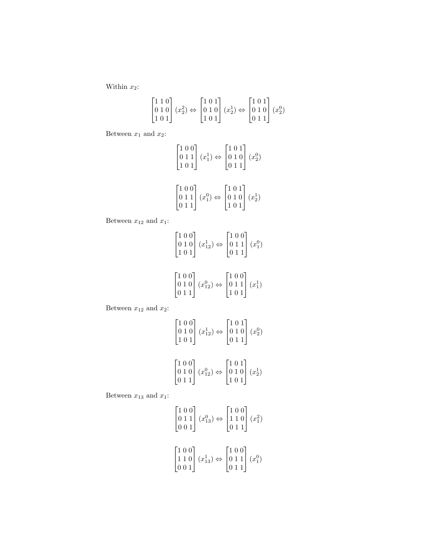Within  $x_2$ :

$$
\begin{bmatrix} 1 & 1 & 0 \\ 0 & 1 & 0 \\ 1 & 0 & 1 \end{bmatrix} (x_2^2) \Leftrightarrow \begin{bmatrix} 1 & 0 & 1 \\ 0 & 1 & 0 \\ 1 & 0 & 1 \end{bmatrix} (x_2^1) \Leftrightarrow \begin{bmatrix} 1 & 0 & 1 \\ 0 & 1 & 0 \\ 0 & 1 & 1 \end{bmatrix} (x_2^0)
$$

Between  $x_1$  and  $x_2$ :

$$
\begin{bmatrix} 1 & 0 & 0 \\ 0 & 1 & 1 \\ 1 & 0 & 1 \end{bmatrix} (x_1^1) \Leftrightarrow \begin{bmatrix} 1 & 0 & 1 \\ 0 & 1 & 0 \\ 0 & 1 & 1 \end{bmatrix} (x_2^0)
$$
  

$$
\begin{bmatrix} 1 & 0 & 0 \\ 0 & 1 & 1 \\ 0 & 1 & 1 \end{bmatrix} (x_1^0) \Leftrightarrow \begin{bmatrix} 1 & 0 & 1 \\ 0 & 1 & 0 \\ 1 & 0 & 1 \end{bmatrix} (x_2^1)
$$

Between  $x_{12}$  and  $x_1$ :

$$
\begin{bmatrix} 1 & 0 & 0 \\ 0 & 1 & 0 \\ 1 & 0 & 1 \end{bmatrix} (x_{12}^1) \Leftrightarrow \begin{bmatrix} 1 & 0 & 0 \\ 0 & 1 & 1 \\ 0 & 1 & 1 \end{bmatrix} (x_1^0)
$$

$$
\begin{bmatrix} 1 & 0 & 0 \\ 0 & 1 & 0 \\ 0 & 1 & 1 \end{bmatrix} (x_{12}^0) \Leftrightarrow \begin{bmatrix} 1 & 0 & 0 \\ 0 & 1 & 1 \\ 1 & 0 & 1 \end{bmatrix} (x_1^1)
$$

Between  $x_{12}$  and  $x_2$ :

$$
\begin{bmatrix} 1 & 0 & 0 \\ 0 & 1 & 0 \\ 1 & 0 & 1 \end{bmatrix} (x_{12}^1) \Leftrightarrow \begin{bmatrix} 1 & 0 & 1 \\ 0 & 1 & 0 \\ 0 & 1 & 1 \end{bmatrix} (x_2^0)
$$

$$
\begin{bmatrix} 1 & 0 & 0 \\ 0 & 1 & 0 \\ 0 & 1 & 1 \end{bmatrix} (x_{12}^0) \Leftrightarrow \begin{bmatrix} 1 & 0 & 1 \\ 0 & 1 & 0 \\ 1 & 0 & 1 \end{bmatrix} (x_2^1)
$$

Between  $x_{13}$  and  $x_1$ :

$$
\begin{bmatrix} 1 & 0 & 0 \\ 0 & 1 & 1 \\ 0 & 0 & 1 \end{bmatrix} (x_{13}^0) \Leftrightarrow \begin{bmatrix} 1 & 0 & 0 \\ 1 & 1 & 0 \\ 0 & 1 & 1 \end{bmatrix} (x_1^2)
$$

$$
\begin{bmatrix} 1 & 0 & 0 \\ 1 & 1 & 0 \\ 0 & 0 & 1 \end{bmatrix} (x_{13}^1) \Leftrightarrow \begin{bmatrix} 1 & 0 & 0 \\ 0 & 1 & 1 \\ 0 & 1 & 1 \end{bmatrix} (x_1^0)
$$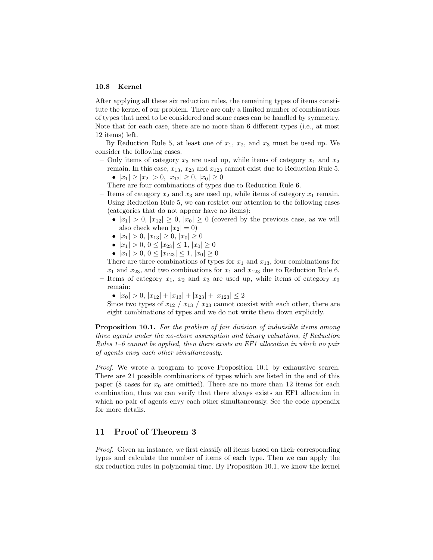#### 10.8 Kernel

After applying all these six reduction rules, the remaining types of items constitute the kernel of our problem. There are only a limited number of combinations of types that need to be considered and some cases can be handled by symmetry. Note that for each case, there are no more than 6 different types (i.e., at most 12 items) left.

By Reduction Rule 5, at least one of  $x_1, x_2$ , and  $x_3$  must be used up. We consider the following cases.

- Only items of category  $x_3$  are used up, while items of category  $x_1$  and  $x_2$ remain. In this case,  $x_{13}$ ,  $x_{23}$  and  $x_{123}$  cannot exist due to Reduction Rule 5. •  $|x_1| \ge |x_2| > 0, |x_{12}| \ge 0, |x_0| \ge 0$ 
	- There are four combinations of types due to Reduction Rule 6.
- Items of category  $x_2$  and  $x_3$  are used up, while items of category  $x_1$  remain. Using Reduction Rule 5, we can restrict our attention to the following cases (categories that do not appear have no items):
	- $|x_1| > 0$ ,  $|x_{12}| \geq 0$ ,  $|x_0| \geq 0$  (covered by the previous case, as we will also check when  $|x_2|=0$ )
	- $|x_1| > 0, |x_{13}| \geq 0, |x_0| \geq 0$
	- $|x_1| > 0, 0 \leq |x_{23}| \leq 1, |x_0| \geq 0$
	- $|x_1| > 0, 0 \le |x_{123}| \le 1, |x_0| \ge 0$

There are three combinations of types for  $x_1$  and  $x_{13}$ , four combinations for  $x_1$  and  $x_{23}$ , and two combinations for  $x_1$  and  $x_{123}$  due to Reduction Rule 6.

– Items of category  $x_1, x_2$  and  $x_3$  are used up, while items of category  $x_0$ remain:

•  $|x_0| > 0, |x_{12}| + |x_{13}| + |x_{23}| + |x_{123}| \leq 2$ 

Since two types of  $x_{12}$  /  $x_{13}$  /  $x_{23}$  cannot coexist with each other, there are eight combinations of types and we do not write them down explicitly.

Proposition 10.1. *For the problem of fair division of indivisible items among three agents under the no-chore assumption and binary valuations, if Reduction Rules 1–6 cannot be applied, then there exists an EF1 allocation in which no pair of agents envy each other simultaneously.*

*Proof.* We wrote a program to prove Proposition 10.1 by exhaustive search. There are 21 possible combinations of types which are listed in the end of this paper (8 cases for  $x_0$  are omitted). There are no more than 12 items for each combination, thus we can verify that there always exists an EF1 allocation in which no pair of agents envy each other simultaneously. See the code appendix for more details.

# 11 Proof of Theorem 3

*Proof.* Given an instance, we first classify all items based on their corresponding types and calculate the number of items of each type. Then we can apply the six reduction rules in polynomial time. By Proposition 10.1, we know the kernel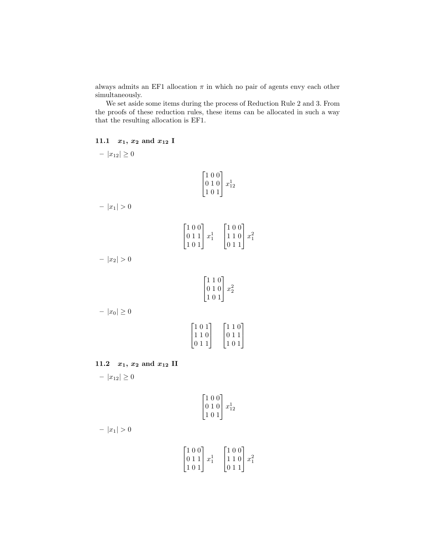always admits an EF1 allocation  $\pi$  in which no pair of agents envy each other simultaneously.

We set aside some items during the process of Reduction Rule 2 and 3. From the proofs of these reduction rules, these items can be allocated in such a way that the resulting allocation is EF1.

# 11.1  $x_1, x_2 \text{ and } x_{12}$  I

$$
|x_{12}| \ge 0
$$
\n
$$
\begin{bmatrix}\n1 & 0 & 0 \\
0 & 1 & 0 \\
1 & 0 & 1\n\end{bmatrix} x_{12}^1
$$
\n
$$
-|x_1| > 0
$$
\n
$$
\begin{bmatrix}\n1 & 0 & 0 \\
0 & 1 & 1 \\
1 & 0 & 1\n\end{bmatrix} x_1^1 \begin{bmatrix}\n1 & 0 & 0 \\
1 & 1 & 0 \\
0 & 1 & 1\n\end{bmatrix} x_1^2
$$
\n
$$
-|x_2| > 0
$$
\n
$$
\begin{bmatrix}\n1 & 1 & 0 \\
0 & 1 & 0 \\
1 & 0 & 1\n\end{bmatrix} x_2^2
$$
\n
$$
-|x_0| \ge 0
$$
\n
$$
\begin{bmatrix}\n1 & 1 & 0 \\
0 & 1 & 0 \\
1 & 0 & 1\n\end{bmatrix} x_1^2 \begin{bmatrix}\n1 & 1 & 0 \\
0 & 1 & 0 \\
1 & 0 & 1\n\end{bmatrix}
$$

 $\overline{1}$ 

 $\overline{1}$ 

 $\overline{1}$ 

 $\overline{1}$ 

# 11.2  $x_1, x_2$  and  $x_{12}$  II

 $|x_{12}| \ge 0$ 

$$
\begin{bmatrix} 1 & 0 & 0 \\ 0 & 1 & 0 \\ 1 & 0 & 1 \end{bmatrix} x_{12}^1
$$

$$
-|x_1|>0
$$

$$
\begin{bmatrix} 1 & 0 & 0 \\ 0 & 1 & 1 \\ 1 & 0 & 1 \end{bmatrix} x_1^1 \quad \begin{bmatrix} 1 & 0 & 0 \\ 1 & 1 & 0 \\ 0 & 1 & 1 \end{bmatrix} x_1^2
$$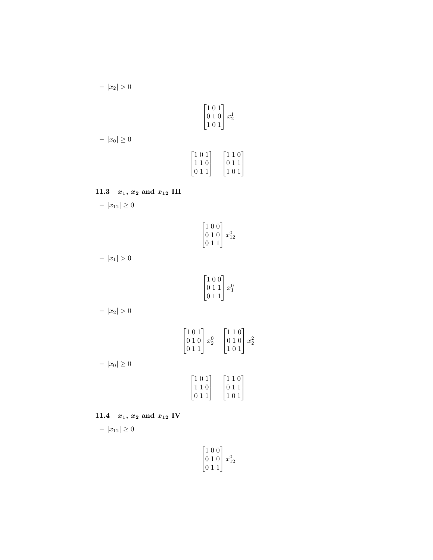$$
- |x_2| > 0
$$
\n
$$
\begin{bmatrix} 1 & 0 & 1 \\ 0 & 1 & 0 \\ 1 & 0 & 1 \end{bmatrix} x_2^1
$$
\n
$$
- |x_0| \ge 0
$$
\n
$$
\begin{bmatrix} 1 & 0 & 1 \\ 1 & 1 & 0 \\ 0 & 1 & 1 \end{bmatrix} \begin{bmatrix} 1 & 1 & 0 \\ 0 & 1 & 1 \\ 1 & 0 & 1 \end{bmatrix}
$$

# 11.3  $x_1, x_2$  and  $x_{12}$  III

–  $|x_{12}| \ge 0$ 

$$
\begin{bmatrix} 1 & 0 & 0 \\ 0 & 1 & 0 \\ 0 & 1 & 1 \end{bmatrix} x_{12}^0
$$

1  $\overline{ }$ 

 $|x_1| > 0$ 

$$
\begin{bmatrix} 1 & 0 & 0 \\ 0 & 1 & 1 \\ 0 & 1 & 1 \end{bmatrix} x_1^0
$$

$$
-|x_2|>0
$$

$$
\begin{bmatrix} 1 & 0 & 1 \\ 0 & 1 & 0 \\ 0 & 1 & 1 \end{bmatrix} x_2^0 \quad \begin{bmatrix} 1 & 1 & 0 \\ 0 & 1 & 0 \\ 1 & 0 & 1 \end{bmatrix} x_2^2
$$

 $|x_0| \ge 0$ 

$$
\begin{bmatrix} 1 & 0 & 1 \\ 1 & 1 & 0 \\ 0 & 1 & 1 \end{bmatrix} \quad \begin{bmatrix} 1 & 1 & 0 \\ 0 & 1 & 1 \\ 1 & 0 & 1 \end{bmatrix}
$$

11.4  $x_1, x_2$  and  $x_{12}$  IV

$$
-|x_{12}|\geq 0
$$

$$
\begin{bmatrix} 1 & 0 & 0 \\ 0 & 1 & 0 \\ 0 & 1 & 1 \end{bmatrix} x_{12}^0
$$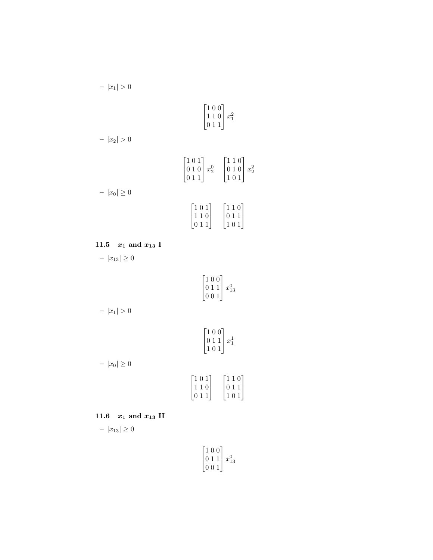$$
\begin{bmatrix} 1 & 0 & 0 \\ 1 & 1 & 0 \\ 0 & 1 & 1 \end{bmatrix} x_1^2
$$

 $|x_2| > 0$ 

–  $\vert x_1\vert>0$ 

$$
\begin{bmatrix} 1 & 0 & 1 \ 0 & 1 & 0 \ 0 & 1 & 1 \end{bmatrix} x_2^0 \begin{bmatrix} 1 & 1 & 0 \ 0 & 1 & 0 \ 1 & 0 & 1 \end{bmatrix} x_2^2
$$

$$
-|x_0| \ge 0
$$

$$
\begin{bmatrix} 1 & 0 & 1 \ 1 & 1 & 0 \ 0 & 1 & 1 \end{bmatrix} \begin{bmatrix} 1 & 1 & 0 \ 0 & 1 & 1 \ 1 & 0 & 1 \end{bmatrix}
$$

11.5  $x_1$  and  $x_{13}$  I

–  $|x_{13}| \geq 0$ 

$$
\begin{bmatrix} 1 & 0 & 0 \\ 0 & 1 & 1 \\ 0 & 0 & 1 \end{bmatrix} x_{13}^0
$$

–  $|x_1| > 0$ 

$$
\begin{bmatrix} 1 & 0 & 0 \\ 0 & 1 & 1 \\ 1 & 0 & 1 \end{bmatrix} x_1^1
$$

–  $|x_0|\geq 0$ 

$$
\begin{bmatrix} 1 & 0 & 1 \\ 1 & 1 & 0 \\ 0 & 1 & 1 \end{bmatrix} \quad \begin{bmatrix} 1 & 1 & 0 \\ 0 & 1 & 1 \\ 1 & 0 & 1 \end{bmatrix}
$$

11.6  $x_1$  and  $x_{13}$  II

 $-$  | $x_{13}$ | ≥ 0

$$
\begin{bmatrix} 1 & 0 & 0 \\ 0 & 1 & 1 \\ 0 & 0 & 1 \end{bmatrix} x_{13}^0
$$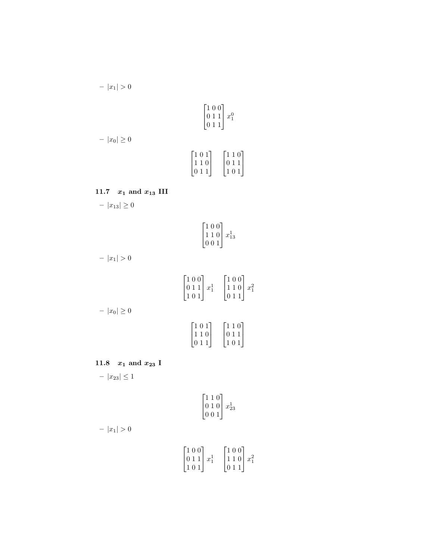$$
- |x_1| > 0
$$
\n
$$
\begin{bmatrix} 1 & 0 & 0 \ 0 & 1 & 1 \ 0 & 1 & 1 \end{bmatrix} x_1^0
$$
\n
$$
- |x_0| \ge 0
$$
\n
$$
\begin{bmatrix} 1 & 0 & 1 \ 0 & 1 & 1 \ 1 & 1 & 0 \ 0 & 1 & 1 \end{bmatrix} \begin{bmatrix} 1 & 1 & 0 \ 0 & 1 & 1 \ 1 & 0 & 1 \ 1 & 0 & 1 \end{bmatrix}
$$

# 11.7  $x_1$  and  $x_{13}$  III

–  $|x_{13}| \ge 0$ 

$$
\begin{bmatrix} 1 & 0 & 0 \\ 1 & 1 & 0 \\ 0 & 0 & 1 \end{bmatrix} x_{13}^1
$$

1  $\overline{ }$ 

 $|x_1| > 0$ 

$$
\begin{bmatrix} 1 & 0 & 0 \\ 0 & 1 & 1 \\ 1 & 0 & 1 \end{bmatrix} x_1^1 \quad \begin{bmatrix} 1 & 0 & 0 \\ 1 & 1 & 0 \\ 0 & 1 & 1 \end{bmatrix} x_1^2
$$

 $|x_0| \ge 0$ 

$$
\begin{bmatrix} 1 & 0 & 1 \\ 1 & 1 & 0 \\ 0 & 1 & 1 \end{bmatrix} \quad \begin{bmatrix} 1 & 1 & 0 \\ 0 & 1 & 1 \\ 1 & 0 & 1 \end{bmatrix}
$$

11.8  $x_1$  and  $x_{23}$  I

–  $|x_{23}| \leq 1$ 

$$
\begin{bmatrix} 1 & 1 & 0 \\ 0 & 1 & 0 \\ 0 & 0 & 1 \end{bmatrix} x_{23}^1
$$

$$
-|x_1|>0
$$

$$
\begin{bmatrix} 1 & 0 & 0 \\ 0 & 1 & 1 \\ 1 & 0 & 1 \end{bmatrix} x_1^1 \quad \begin{bmatrix} 1 & 0 & 0 \\ 1 & 1 & 0 \\ 0 & 1 & 1 \end{bmatrix} x_1^2
$$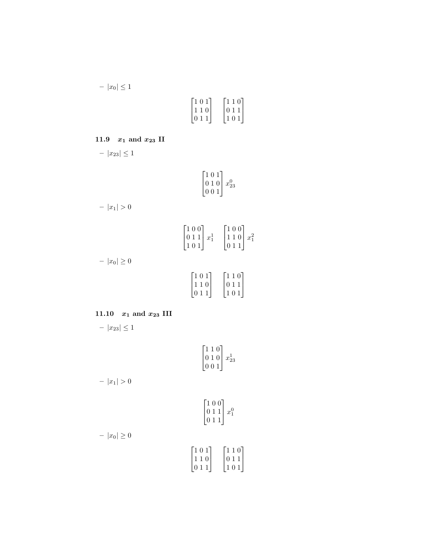–  $|x_0|\leq 1$ 

| $\lceil 1 \ 0 \ 1 \rceil$ | $\lceil 1\,1\,0 \rceil$ |
|---------------------------|-------------------------|
| 110                       | 011                     |
| 011                       | 101                     |

# 11.9  $x_1$  and  $x_{23}$  II

–  $|x_{23}| \leq 1$ 

$$
\begin{bmatrix} 1 & 0 & 1 \\ 0 & 1 & 0 \\ 0 & 0 & 1 \end{bmatrix} x_{23}^0
$$

 $|x_1| > 0$ 

$$
\begin{bmatrix} 1 & 0 & 0 \\ 0 & 1 & 1 \\ 1 & 0 & 1 \end{bmatrix} x^1_1 \quad \begin{bmatrix} 1 & 0 & 0 \\ 1 & 1 & 0 \\ 0 & 1 & 1 \end{bmatrix} x^2_1
$$

–  $|x_0|\geq 0$ 

$$
\begin{bmatrix} 1 & 0 & 1 \\ 1 & 1 & 0 \\ 0 & 1 & 1 \end{bmatrix} \quad \begin{bmatrix} 1 & 1 & 0 \\ 0 & 1 & 1 \\ 1 & 0 & 1 \end{bmatrix}
$$

# 11.10  $x_1$  and  $x_{23}$  III

–  $|x_{23}| \leq 1$ 

$$
\begin{bmatrix} 1 & 1 & 0 \\ 0 & 1 & 0 \\ 0 & 0 & 1 \end{bmatrix} x_{23}^1
$$

 $|x_1| > 0$ 

$$
\begin{bmatrix} 1 & 0 & 0 \\ 0 & 1 & 1 \\ 0 & 1 & 1 \end{bmatrix} x_1^0
$$

$$
- |x_0| \ge 0
$$

$$
\begin{bmatrix} 1 & 0 & 1 \\ 1 & 1 & 0 \\ 0 & 1 & 1 \end{bmatrix} \quad \begin{bmatrix} 1 & 1 & 0 \\ 0 & 1 & 1 \\ 1 & 0 & 1 \end{bmatrix}
$$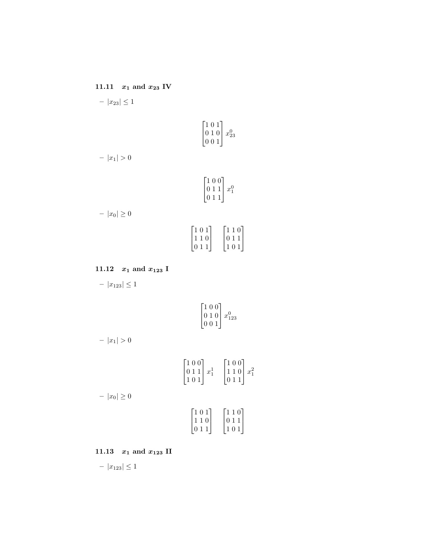11.11  $\,$   $x_1$  and  $x_{23}$  IV –  $|x_{23}| \leq 1$ 

$$
\begin{bmatrix} 1 & 0 & 1 \\ 0 & 1 & 0 \\ 0 & 0 & 1 \end{bmatrix} x_{23}^0
$$

$$
-|x_1|>0
$$

$$
\begin{bmatrix} 1 & 0 & 0 \\ 0 & 1 & 1 \\ 0 & 1 & 1 \end{bmatrix} x_1^0
$$

–  $|x_0|\geq 0$ 

$$
\begin{bmatrix} 1 & 0 & 1 \\ 1 & 1 & 0 \\ 0 & 1 & 1 \end{bmatrix} \quad \begin{bmatrix} 1 & 1 & 0 \\ 0 & 1 & 1 \\ 1 & 0 & 1 \end{bmatrix}
$$

# 11.12  $x_1$  and  $x_{123}$  I

 $|x_{123}| \leq 1$ 

$$
\begin{bmatrix} 1 & 0 & 0 \\ 0 & 1 & 0 \\ 0 & 0 & 1 \end{bmatrix} x_{123}^0
$$

$$
-|x_1|>0
$$

$$
\begin{bmatrix} 1 & 0 & 0 \\ 0 & 1 & 1 \\ 1 & 0 & 1 \end{bmatrix} x_1^1 \quad \begin{bmatrix} 1 & 0 & 0 \\ 1 & 1 & 0 \\ 0 & 1 & 1 \end{bmatrix} x_1^2
$$

 $|x_0| \ge 0$ 

$$
\begin{bmatrix} 1 & 0 & 1 \\ 1 & 1 & 0 \\ 0 & 1 & 1 \end{bmatrix} \quad \begin{bmatrix} 1 & 1 & 0 \\ 0 & 1 & 1 \\ 1 & 0 & 1 \end{bmatrix}
$$

11.13  $x_1$  and  $x_{123}$  II

–  $|x_{123}| \leq 1$